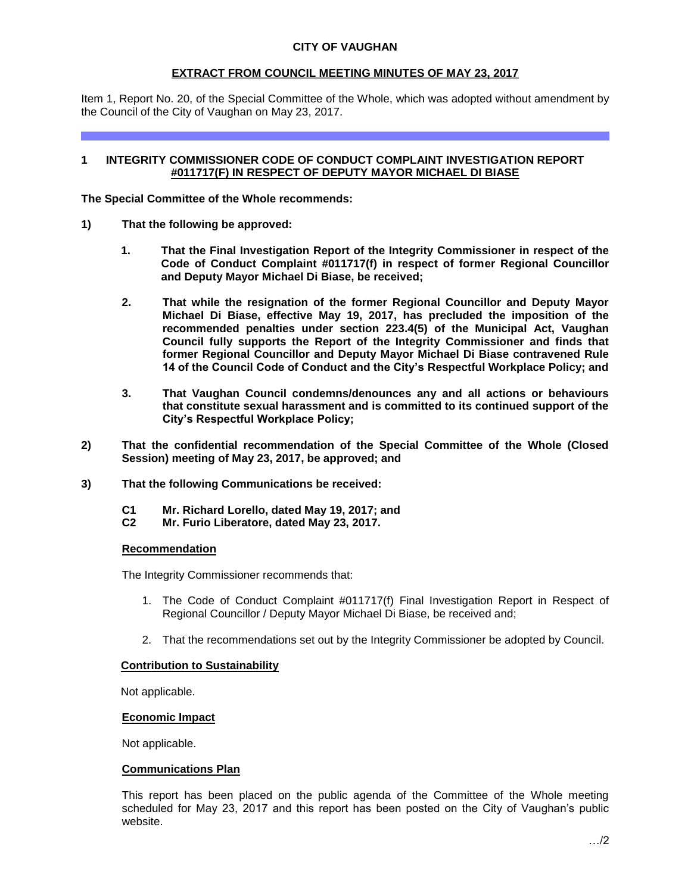### **EXTRACT FROM COUNCIL MEETING MINUTES OF MAY 23, 2017**

Item 1, Report No. 20, of the Special Committee of the Whole, which was adopted without amendment by the Council of the City of Vaughan on May 23, 2017.

### **1 INTEGRITY COMMISSIONER CODE OF CONDUCT COMPLAINT INVESTIGATION REPORT #011717(F) IN RESPECT OF DEPUTY MAYOR MICHAEL DI BIASE**

**The Special Committee of the Whole recommends:**

- **1) That the following be approved:**
	- **1. That the Final Investigation Report of the Integrity Commissioner in respect of the Code of Conduct Complaint #011717(f) in respect of former Regional Councillor and Deputy Mayor Michael Di Biase, be received;**
	- **2. That while the resignation of the former Regional Councillor and Deputy Mayor Michael Di Biase, effective May 19, 2017, has precluded the imposition of the recommended penalties under section 223.4(5) of the Municipal Act, Vaughan Council fully supports the Report of the Integrity Commissioner and finds that former Regional Councillor and Deputy Mayor Michael Di Biase contravened Rule 14 of the Council Code of Conduct and the City's Respectful Workplace Policy; and**
	- **3. That Vaughan Council condemns/denounces any and all actions or behaviours that constitute sexual harassment and is committed to its continued support of the City's Respectful Workplace Policy;**
- **2) That the confidential recommendation of the Special Committee of the Whole (Closed Session) meeting of May 23, 2017, be approved; and**
- **3) That the following Communications be received:**
	- **C1 Mr. Richard Lorello, dated May 19, 2017; and**
	- **C2 Mr. Furio Liberatore, dated May 23, 2017.**

#### **Recommendation**

The Integrity Commissioner recommends that:

- 1. The Code of Conduct Complaint #011717(f) Final Investigation Report in Respect of Regional Councillor / Deputy Mayor Michael Di Biase, be received and;
- 2. That the recommendations set out by the Integrity Commissioner be adopted by Council.

### **Contribution to Sustainability**

Not applicable.

#### **Economic Impact**

Not applicable.

### **Communications Plan**

This report has been placed on the public agenda of the Committee of the Whole meeting scheduled for May 23, 2017 and this report has been posted on the City of Vaughan's public website.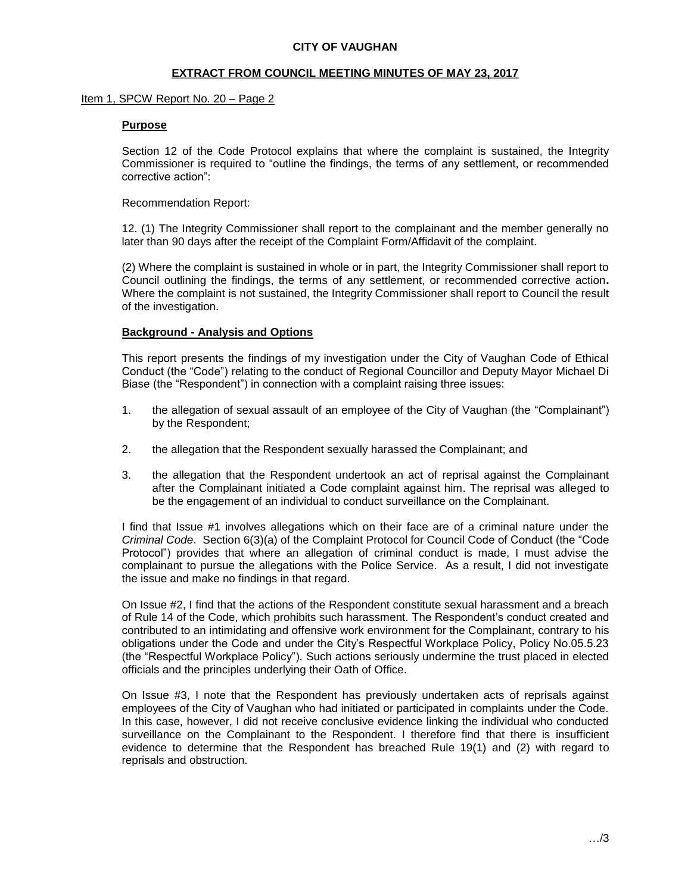#### **CITY OF VAUGHAN**

#### **EXTRACT FROM COUNCIL MEETING MINUTES OF MAY 23, 2017**

#### Item 1, SPCW Report No. 20 – Page 2

#### **Purpose**

Section 12 of the Code Protocol explains that where the complaint is sustained, the Integrity Commissioner is required to "outline the findings, the terms of any settlement, or recommended corrective action":

Recommendation Report:

12. (1) The Integrity Commissioner shall report to the complainant and the member generally no later than 90 days after the receipt of the Complaint Form/Affidavit of the complaint.

(2) Where the complaint is sustained in whole or in part, the Integrity Commissioner shall report to Council outlining the findings, the terms of any settlement, or recommended corrective action**.** Where the complaint is not sustained, the Integrity Commissioner shall report to Council the result of the investigation.

#### **Background - Analysis and Options**

This report presents the findings of my investigation under the City of Vaughan Code of Ethical Conduct (the "Code") relating to the conduct of Regional Councillor and Deputy Mayor Michael Di Biase (the "Respondent") in connection with a complaint raising three issues:

- 1. the allegation of sexual assault of an employee of the City of Vaughan (the "Complainant") by the Respondent;
- 2. the allegation that the Respondent sexually harassed the Complainant; and
- 3. the allegation that the Respondent undertook an act of reprisal against the Complainant after the Complainant initiated a Code complaint against him. The reprisal was alleged to be the engagement of an individual to conduct surveillance on the Complainant.

I find that Issue #1 involves allegations which on their face are of a criminal nature under the *Criminal Code*. Section 6(3)(a) of the Complaint Protocol for Council Code of Conduct (the "Code Protocol") provides that where an allegation of criminal conduct is made, I must advise the complainant to pursue the allegations with the Police Service. As a result, I did not investigate the issue and make no findings in that regard.

On Issue #2, I find that the actions of the Respondent constitute sexual harassment and a breach of Rule 14 of the Code, which prohibits such harassment. The Respondent's conduct created and contributed to an intimidating and offensive work environment for the Complainant, contrary to his obligations under the Code and under the City's Respectful Workplace Policy, Policy No.05.5.23 (the "Respectful Workplace Policy"). Such actions seriously undermine the trust placed in elected officials and the principles underlying their Oath of Office.

On Issue #3, I note that the Respondent has previously undertaken acts of reprisals against employees of the City of Vaughan who had initiated or participated in complaints under the Code. In this case, however, I did not receive conclusive evidence linking the individual who conducted surveillance on the Complainant to the Respondent. I therefore find that there is insufficient evidence to determine that the Respondent has breached Rule 19(1) and (2) with regard to reprisals and obstruction.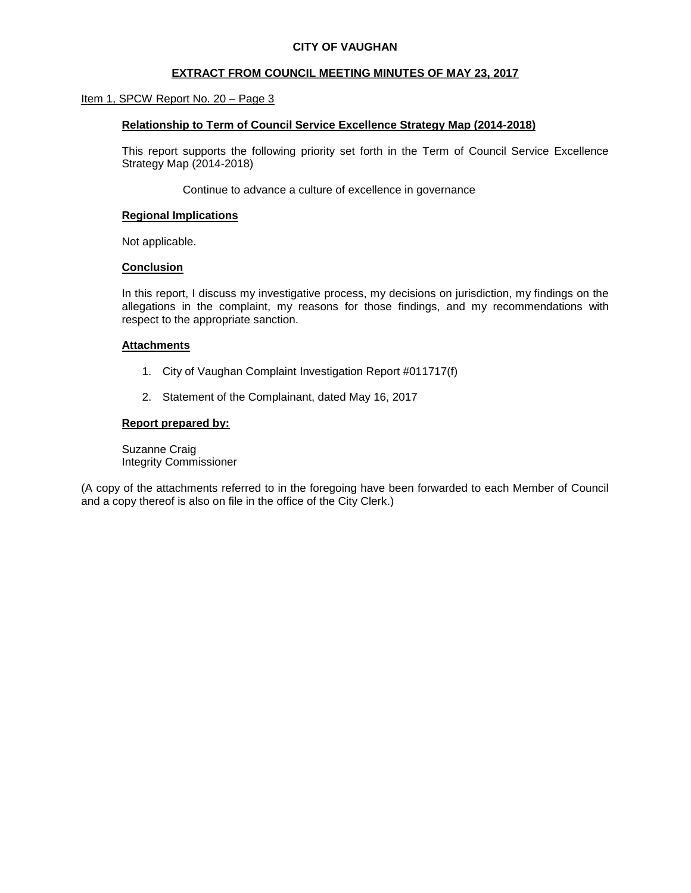### **CITY OF VAUGHAN**

### **EXTRACT FROM COUNCIL MEETING MINUTES OF MAY 23, 2017**

### Item 1, SPCW Report No. 20 - Page 3

### **Relationship to Term of Council Service Excellence Strategy Map (2014-2018)**

This report supports the following priority set forth in the Term of Council Service Excellence Strategy Map (2014-2018)

Continue to advance a culture of excellence in governance

#### **Regional Implications**

Not applicable.

#### **Conclusion**

In this report, I discuss my investigative process, my decisions on jurisdiction, my findings on the allegations in the complaint, my reasons for those findings, and my recommendations with respect to the appropriate sanction.

#### **Attachments**

- 1. City of Vaughan Complaint Investigation Report #011717(f)
- 2. Statement of the Complainant, dated May 16, 2017

#### **Report prepared by:**

Suzanne Craig Integrity Commissioner

(A copy of the attachments referred to in the foregoing have been forwarded to each Member of Council and a copy thereof is also on file in the office of the City Clerk.)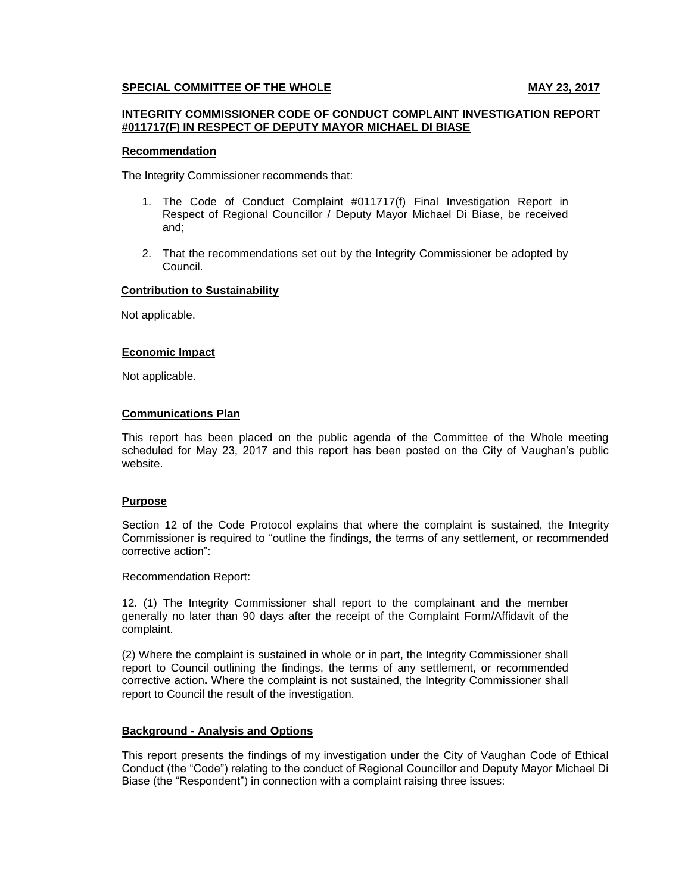### **SPECIAL COMMITTEE OF THE WHOLE MAY 23, 2017**

#### **INTEGRITY COMMISSIONER CODE OF CONDUCT COMPLAINT INVESTIGATION REPORT #011717(F) IN RESPECT OF DEPUTY MAYOR MICHAEL DI BIASE**

#### **Recommendation**

The Integrity Commissioner recommends that:

- 1. The Code of Conduct Complaint #011717(f) Final Investigation Report in Respect of Regional Councillor / Deputy Mayor Michael Di Biase, be received and;
- 2. That the recommendations set out by the Integrity Commissioner be adopted by Council.

#### **Contribution to Sustainability**

Not applicable.

#### **Economic Impact**

Not applicable.

#### **Communications Plan**

This report has been placed on the public agenda of the Committee of the Whole meeting scheduled for May 23, 2017 and this report has been posted on the City of Vaughan's public website.

### **Purpose**

Section 12 of the Code Protocol explains that where the complaint is sustained, the Integrity Commissioner is required to "outline the findings, the terms of any settlement, or recommended corrective action":

Recommendation Report:

12. (1) The Integrity Commissioner shall report to the complainant and the member generally no later than 90 days after the receipt of the Complaint Form/Affidavit of the complaint.

(2) Where the complaint is sustained in whole or in part, the Integrity Commissioner shall report to Council outlining the findings, the terms of any settlement, or recommended corrective action**.** Where the complaint is not sustained, the Integrity Commissioner shall report to Council the result of the investigation.

#### **Background - Analysis and Options**

This report presents the findings of my investigation under the City of Vaughan Code of Ethical Conduct (the "Code") relating to the conduct of Regional Councillor and Deputy Mayor Michael Di Biase (the "Respondent") in connection with a complaint raising three issues: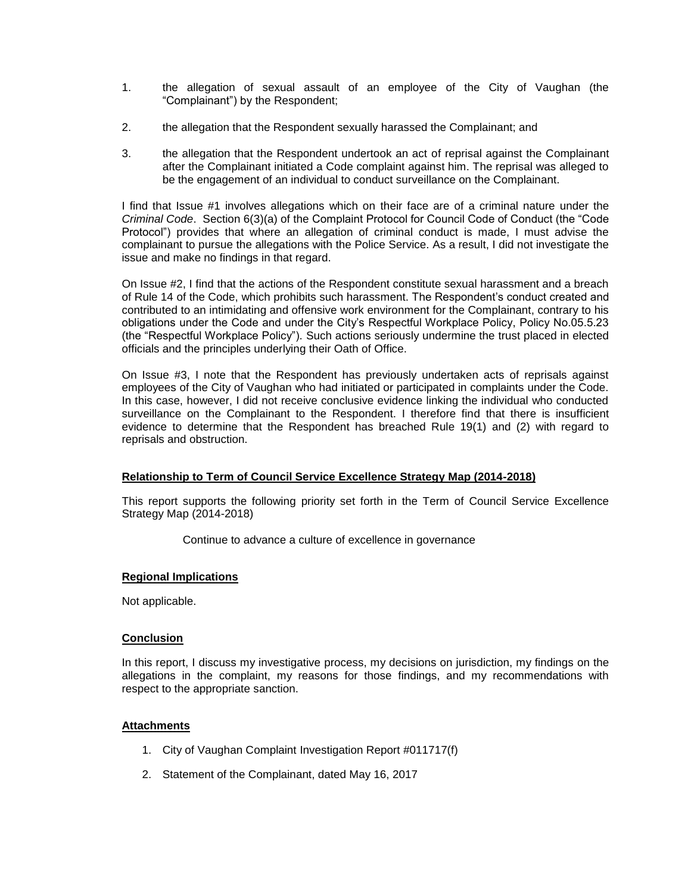- 1. the allegation of sexual assault of an employee of the City of Vaughan (the "Complainant") by the Respondent;
- 2. the allegation that the Respondent sexually harassed the Complainant; and
- 3. the allegation that the Respondent undertook an act of reprisal against the Complainant after the Complainant initiated a Code complaint against him. The reprisal was alleged to be the engagement of an individual to conduct surveillance on the Complainant.

I find that Issue #1 involves allegations which on their face are of a criminal nature under the *Criminal Code*. Section 6(3)(a) of the Complaint Protocol for Council Code of Conduct (the "Code Protocol") provides that where an allegation of criminal conduct is made, I must advise the complainant to pursue the allegations with the Police Service. As a result, I did not investigate the issue and make no findings in that regard.

On Issue #2, I find that the actions of the Respondent constitute sexual harassment and a breach of Rule 14 of the Code, which prohibits such harassment. The Respondent's conduct created and contributed to an intimidating and offensive work environment for the Complainant, contrary to his obligations under the Code and under the City's Respectful Workplace Policy, Policy No.05.5.23 (the "Respectful Workplace Policy"). Such actions seriously undermine the trust placed in elected officials and the principles underlying their Oath of Office.

On Issue #3, I note that the Respondent has previously undertaken acts of reprisals against employees of the City of Vaughan who had initiated or participated in complaints under the Code. In this case, however, I did not receive conclusive evidence linking the individual who conducted surveillance on the Complainant to the Respondent. I therefore find that there is insufficient evidence to determine that the Respondent has breached Rule 19(1) and (2) with regard to reprisals and obstruction.

### **Relationship to Term of Council Service Excellence Strategy Map (2014-2018)**

This report supports the following priority set forth in the Term of Council Service Excellence Strategy Map (2014-2018)

Continue to advance a culture of excellence in governance

### **Regional Implications**

Not applicable.

### **Conclusion**

In this report, I discuss my investigative process, my decisions on jurisdiction, my findings on the allegations in the complaint, my reasons for those findings, and my recommendations with respect to the appropriate sanction.

### **Attachments**

- 1. City of Vaughan Complaint Investigation Report #011717(f)
- 2. Statement of the Complainant, dated May 16, 2017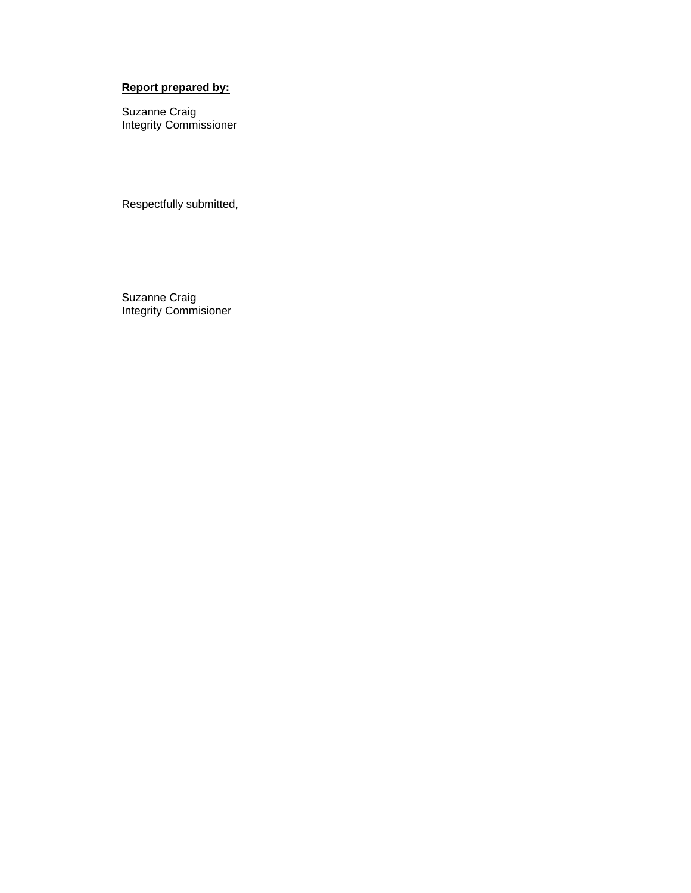# **Report prepared by:**

Suzanne Craig Integrity Commissioner

Respectfully submitted,

Suzanne Craig Integrity Commisioner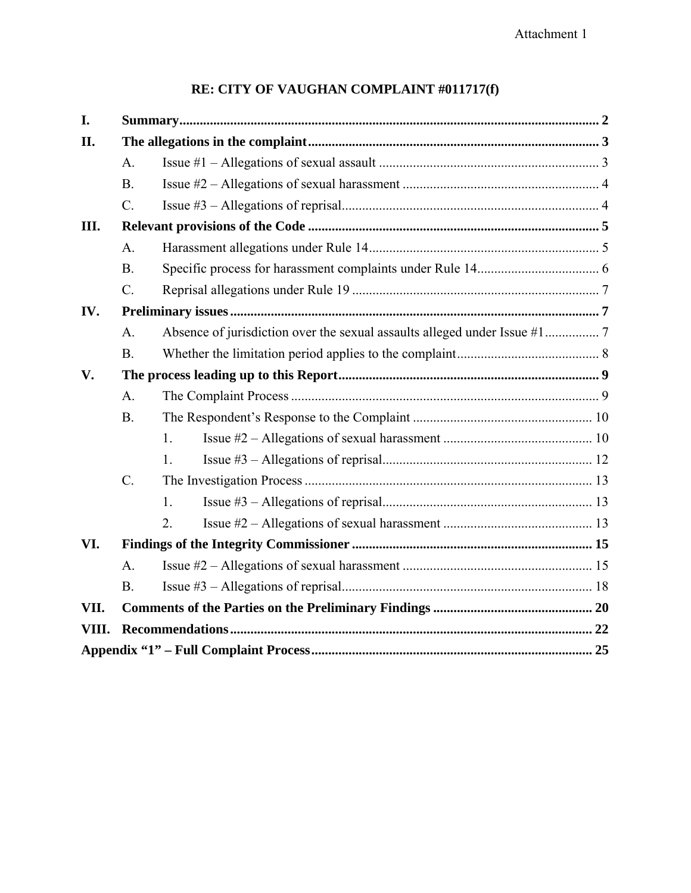# **RE: CITY OF VAUGHAN COMPLAINT #011717(f)**

| I.            |                 |    |  |  |
|---------------|-----------------|----|--|--|
| II.           |                 |    |  |  |
|               | A.              |    |  |  |
|               | $\mathbf{B}$ .  |    |  |  |
|               | $\mathcal{C}$ . |    |  |  |
| Ш.            |                 |    |  |  |
|               | A <sub>1</sub>  |    |  |  |
|               | <b>B</b> .      |    |  |  |
|               | $C$ .           |    |  |  |
| IV.           |                 |    |  |  |
|               | $\mathbf{A}$ .  |    |  |  |
|               | <b>B</b> .      |    |  |  |
| $V_{\bullet}$ |                 |    |  |  |
|               | A.              |    |  |  |
|               | <b>B.</b>       |    |  |  |
|               |                 | 1. |  |  |
|               |                 | 1. |  |  |
|               | $C$ .           |    |  |  |
|               |                 | 1. |  |  |
|               |                 | 2. |  |  |
| VI.           |                 |    |  |  |
|               | $\mathbf{A}$ .  |    |  |  |
|               | <b>B</b> .      |    |  |  |
| VII.          |                 |    |  |  |
| VIII.         |                 |    |  |  |
|               |                 |    |  |  |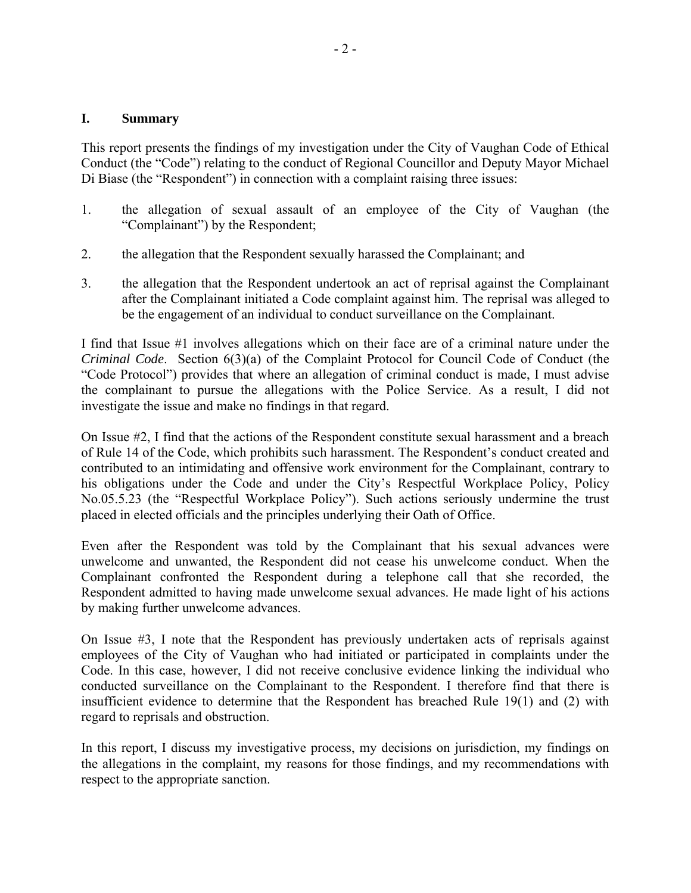### **I. Summary**

This report presents the findings of my investigation under the City of Vaughan Code of Ethical Conduct (the "Code") relating to the conduct of Regional Councillor and Deputy Mayor Michael Di Biase (the "Respondent") in connection with a complaint raising three issues:

- 1. the allegation of sexual assault of an employee of the City of Vaughan (the "Complainant") by the Respondent;
- 2. the allegation that the Respondent sexually harassed the Complainant; and
- 3. the allegation that the Respondent undertook an act of reprisal against the Complainant after the Complainant initiated a Code complaint against him. The reprisal was alleged to be the engagement of an individual to conduct surveillance on the Complainant.

I find that Issue #1 involves allegations which on their face are of a criminal nature under the *Criminal Code*. Section 6(3)(a) of the Complaint Protocol for Council Code of Conduct (the "Code Protocol") provides that where an allegation of criminal conduct is made, I must advise the complainant to pursue the allegations with the Police Service. As a result, I did not investigate the issue and make no findings in that regard.

On Issue #2, I find that the actions of the Respondent constitute sexual harassment and a breach of Rule 14 of the Code, which prohibits such harassment. The Respondent's conduct created and contributed to an intimidating and offensive work environment for the Complainant, contrary to his obligations under the Code and under the City's Respectful Workplace Policy, Policy No.05.5.23 (the "Respectful Workplace Policy"). Such actions seriously undermine the trust placed in elected officials and the principles underlying their Oath of Office.

Even after the Respondent was told by the Complainant that his sexual advances were unwelcome and unwanted, the Respondent did not cease his unwelcome conduct. When the Complainant confronted the Respondent during a telephone call that she recorded, the Respondent admitted to having made unwelcome sexual advances. He made light of his actions by making further unwelcome advances.

On Issue #3, I note that the Respondent has previously undertaken acts of reprisals against employees of the City of Vaughan who had initiated or participated in complaints under the Code. In this case, however, I did not receive conclusive evidence linking the individual who conducted surveillance on the Complainant to the Respondent. I therefore find that there is insufficient evidence to determine that the Respondent has breached Rule 19(1) and (2) with regard to reprisals and obstruction.

In this report, I discuss my investigative process, my decisions on jurisdiction, my findings on the allegations in the complaint, my reasons for those findings, and my recommendations with respect to the appropriate sanction.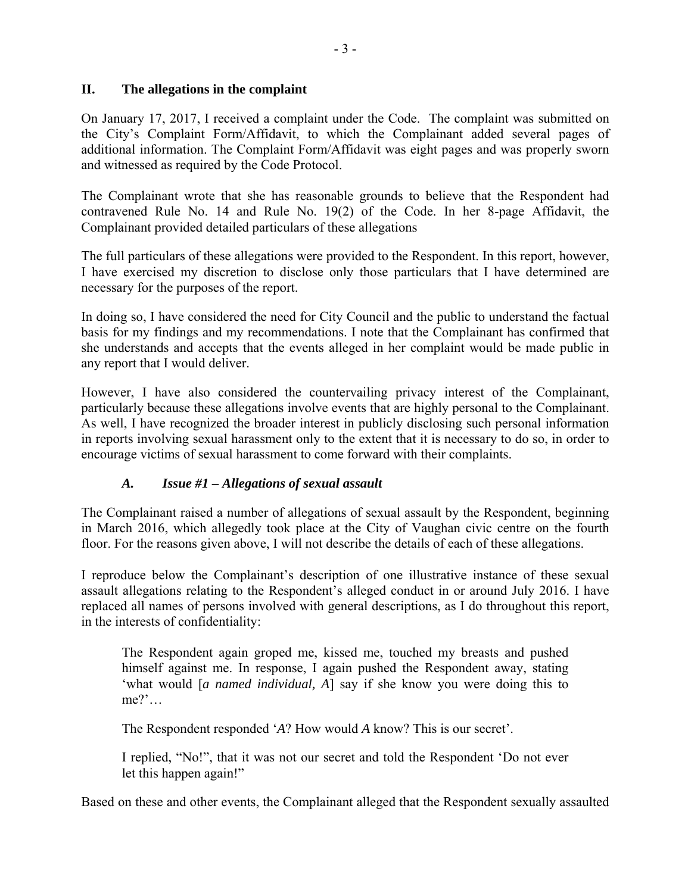### **II. The allegations in the complaint**

On January 17, 2017, I received a complaint under the Code. The complaint was submitted on the City's Complaint Form/Affidavit, to which the Complainant added several pages of additional information. The Complaint Form/Affidavit was eight pages and was properly sworn and witnessed as required by the Code Protocol.

The Complainant wrote that she has reasonable grounds to believe that the Respondent had contravened Rule No. 14 and Rule No. 19(2) of the Code. In her 8-page Affidavit, the Complainant provided detailed particulars of these allegations

The full particulars of these allegations were provided to the Respondent. In this report, however, I have exercised my discretion to disclose only those particulars that I have determined are necessary for the purposes of the report.

In doing so, I have considered the need for City Council and the public to understand the factual basis for my findings and my recommendations. I note that the Complainant has confirmed that she understands and accepts that the events alleged in her complaint would be made public in any report that I would deliver.

However, I have also considered the countervailing privacy interest of the Complainant, particularly because these allegations involve events that are highly personal to the Complainant. As well, I have recognized the broader interest in publicly disclosing such personal information in reports involving sexual harassment only to the extent that it is necessary to do so, in order to encourage victims of sexual harassment to come forward with their complaints.

## *A. Issue #1 – Allegations of sexual assault*

The Complainant raised a number of allegations of sexual assault by the Respondent, beginning in March 2016, which allegedly took place at the City of Vaughan civic centre on the fourth floor. For the reasons given above, I will not describe the details of each of these allegations.

I reproduce below the Complainant's description of one illustrative instance of these sexual assault allegations relating to the Respondent's alleged conduct in or around July 2016. I have replaced all names of persons involved with general descriptions, as I do throughout this report, in the interests of confidentiality:

The Respondent again groped me, kissed me, touched my breasts and pushed himself against me. In response, I again pushed the Respondent away, stating 'what would [*a named individual, A*] say if she know you were doing this to me?'…

The Respondent responded '*A*? How would *A* know? This is our secret'.

I replied, "No!", that it was not our secret and told the Respondent 'Do not ever let this happen again!"

Based on these and other events, the Complainant alleged that the Respondent sexually assaulted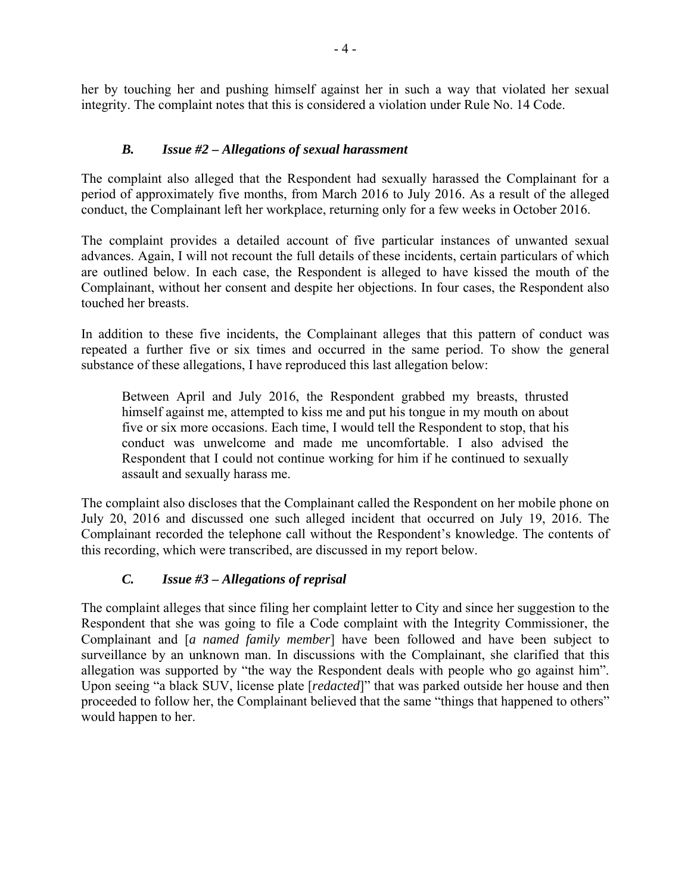her by touching her and pushing himself against her in such a way that violated her sexual integrity. The complaint notes that this is considered a violation under Rule No. 14 Code.

## *B. Issue #2 – Allegations of sexual harassment*

The complaint also alleged that the Respondent had sexually harassed the Complainant for a period of approximately five months, from March 2016 to July 2016. As a result of the alleged conduct, the Complainant left her workplace, returning only for a few weeks in October 2016.

The complaint provides a detailed account of five particular instances of unwanted sexual advances. Again, I will not recount the full details of these incidents, certain particulars of which are outlined below. In each case, the Respondent is alleged to have kissed the mouth of the Complainant, without her consent and despite her objections. In four cases, the Respondent also touched her breasts.

In addition to these five incidents, the Complainant alleges that this pattern of conduct was repeated a further five or six times and occurred in the same period. To show the general substance of these allegations, I have reproduced this last allegation below:

Between April and July 2016, the Respondent grabbed my breasts, thrusted himself against me, attempted to kiss me and put his tongue in my mouth on about five or six more occasions. Each time, I would tell the Respondent to stop, that his conduct was unwelcome and made me uncomfortable. I also advised the Respondent that I could not continue working for him if he continued to sexually assault and sexually harass me.

The complaint also discloses that the Complainant called the Respondent on her mobile phone on July 20, 2016 and discussed one such alleged incident that occurred on July 19, 2016. The Complainant recorded the telephone call without the Respondent's knowledge. The contents of this recording, which were transcribed, are discussed in my report below.

## *C. Issue #3 – Allegations of reprisal*

The complaint alleges that since filing her complaint letter to City and since her suggestion to the Respondent that she was going to file a Code complaint with the Integrity Commissioner, the Complainant and [*a named family member*] have been followed and have been subject to surveillance by an unknown man. In discussions with the Complainant, she clarified that this allegation was supported by "the way the Respondent deals with people who go against him". Upon seeing "a black SUV, license plate [*redacted*]" that was parked outside her house and then proceeded to follow her, the Complainant believed that the same "things that happened to others" would happen to her.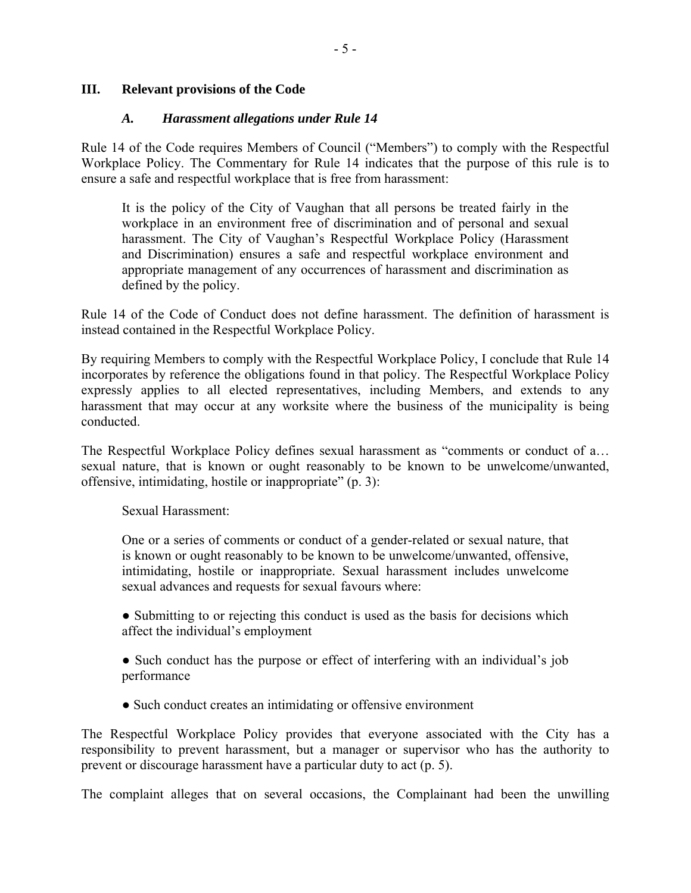### **III. Relevant provisions of the Code**

### *A. Harassment allegations under Rule 14*

Rule 14 of the Code requires Members of Council ("Members") to comply with the Respectful Workplace Policy. The Commentary for Rule 14 indicates that the purpose of this rule is to ensure a safe and respectful workplace that is free from harassment:

It is the policy of the City of Vaughan that all persons be treated fairly in the workplace in an environment free of discrimination and of personal and sexual harassment. The City of Vaughan's Respectful Workplace Policy (Harassment and Discrimination) ensures a safe and respectful workplace environment and appropriate management of any occurrences of harassment and discrimination as defined by the policy.

Rule 14 of the Code of Conduct does not define harassment. The definition of harassment is instead contained in the Respectful Workplace Policy.

By requiring Members to comply with the Respectful Workplace Policy, I conclude that Rule 14 incorporates by reference the obligations found in that policy. The Respectful Workplace Policy expressly applies to all elected representatives, including Members, and extends to any harassment that may occur at any worksite where the business of the municipality is being conducted.

The Respectful Workplace Policy defines sexual harassment as "comments or conduct of a… sexual nature, that is known or ought reasonably to be known to be unwelcome/unwanted, offensive, intimidating, hostile or inappropriate" (p. 3):

Sexual Harassment:

One or a series of comments or conduct of a gender-related or sexual nature, that is known or ought reasonably to be known to be unwelcome/unwanted, offensive, intimidating, hostile or inappropriate. Sexual harassment includes unwelcome sexual advances and requests for sexual favours where:

• Submitting to or rejecting this conduct is used as the basis for decisions which affect the individual's employment

• Such conduct has the purpose or effect of interfering with an individual's job performance

• Such conduct creates an intimidating or offensive environment

The Respectful Workplace Policy provides that everyone associated with the City has a responsibility to prevent harassment, but a manager or supervisor who has the authority to prevent or discourage harassment have a particular duty to act (p. 5).

The complaint alleges that on several occasions, the Complainant had been the unwilling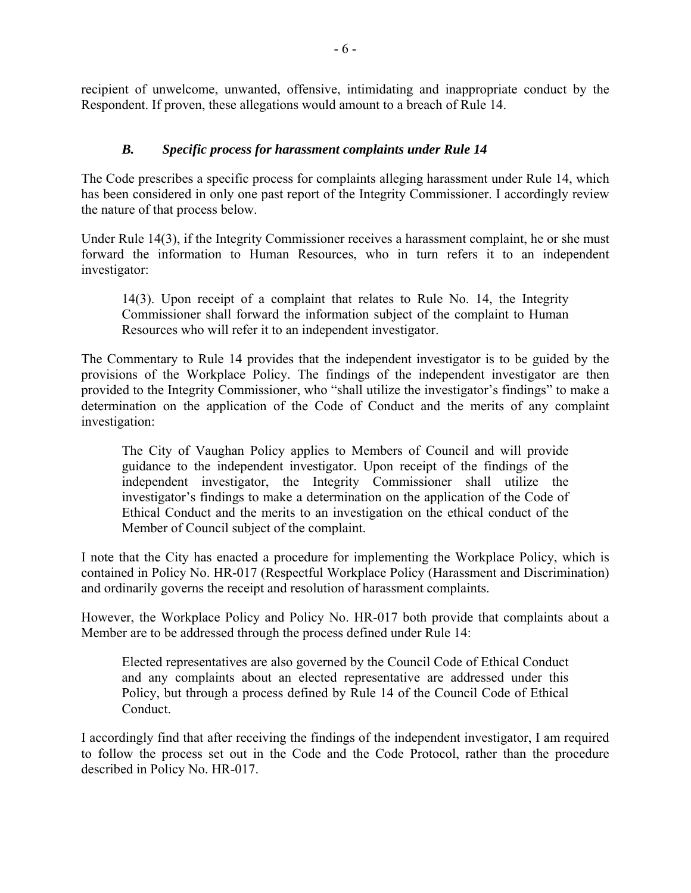recipient of unwelcome, unwanted, offensive, intimidating and inappropriate conduct by the Respondent. If proven, these allegations would amount to a breach of Rule 14.

## *B. Specific process for harassment complaints under Rule 14*

The Code prescribes a specific process for complaints alleging harassment under Rule 14, which has been considered in only one past report of the Integrity Commissioner. I accordingly review the nature of that process below.

Under Rule 14(3), if the Integrity Commissioner receives a harassment complaint, he or she must forward the information to Human Resources, who in turn refers it to an independent investigator:

14(3). Upon receipt of a complaint that relates to Rule No. 14, the Integrity Commissioner shall forward the information subject of the complaint to Human Resources who will refer it to an independent investigator.

The Commentary to Rule 14 provides that the independent investigator is to be guided by the provisions of the Workplace Policy. The findings of the independent investigator are then provided to the Integrity Commissioner, who "shall utilize the investigator's findings" to make a determination on the application of the Code of Conduct and the merits of any complaint investigation:

The City of Vaughan Policy applies to Members of Council and will provide guidance to the independent investigator. Upon receipt of the findings of the independent investigator, the Integrity Commissioner shall utilize the investigator's findings to make a determination on the application of the Code of Ethical Conduct and the merits to an investigation on the ethical conduct of the Member of Council subject of the complaint.

I note that the City has enacted a procedure for implementing the Workplace Policy, which is contained in Policy No. HR-017 (Respectful Workplace Policy (Harassment and Discrimination) and ordinarily governs the receipt and resolution of harassment complaints.

However, the Workplace Policy and Policy No. HR-017 both provide that complaints about a Member are to be addressed through the process defined under Rule 14:

Elected representatives are also governed by the Council Code of Ethical Conduct and any complaints about an elected representative are addressed under this Policy, but through a process defined by Rule 14 of the Council Code of Ethical Conduct.

I accordingly find that after receiving the findings of the independent investigator, I am required to follow the process set out in the Code and the Code Protocol, rather than the procedure described in Policy No. HR-017.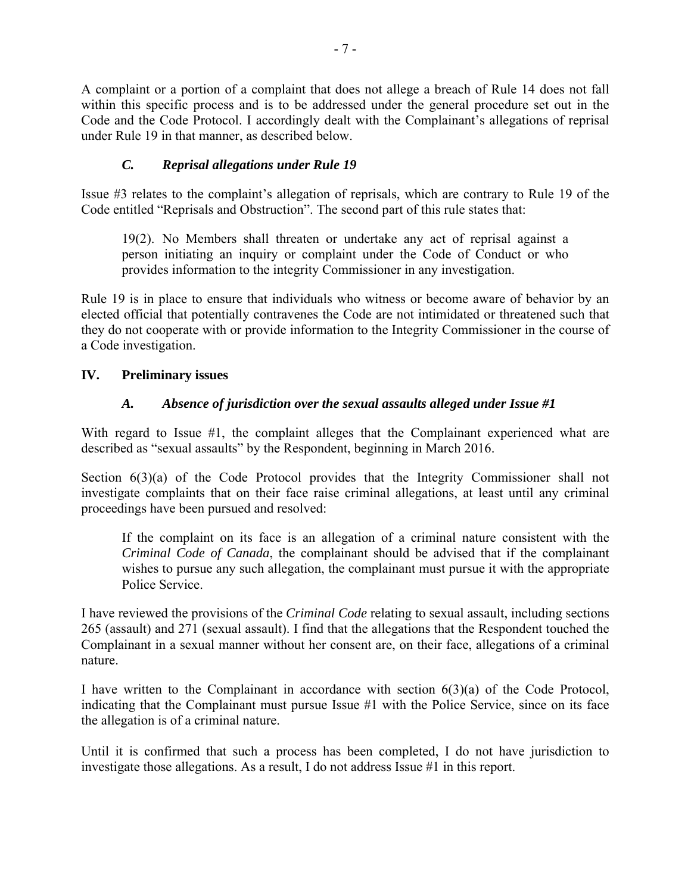A complaint or a portion of a complaint that does not allege a breach of Rule 14 does not fall within this specific process and is to be addressed under the general procedure set out in the Code and the Code Protocol. I accordingly dealt with the Complainant's allegations of reprisal under Rule 19 in that manner, as described below.

## *C. Reprisal allegations under Rule 19*

Issue #3 relates to the complaint's allegation of reprisals, which are contrary to Rule 19 of the Code entitled "Reprisals and Obstruction". The second part of this rule states that:

19(2). No Members shall threaten or undertake any act of reprisal against a person initiating an inquiry or complaint under the Code of Conduct or who provides information to the integrity Commissioner in any investigation.

Rule 19 is in place to ensure that individuals who witness or become aware of behavior by an elected official that potentially contravenes the Code are not intimidated or threatened such that they do not cooperate with or provide information to the Integrity Commissioner in the course of a Code investigation.

## **IV. Preliminary issues**

## *A. Absence of jurisdiction over the sexual assaults alleged under Issue #1*

With regard to Issue #1, the complaint alleges that the Complainant experienced what are described as "sexual assaults" by the Respondent, beginning in March 2016.

Section  $6(3)(a)$  of the Code Protocol provides that the Integrity Commissioner shall not investigate complaints that on their face raise criminal allegations, at least until any criminal proceedings have been pursued and resolved:

If the complaint on its face is an allegation of a criminal nature consistent with the *Criminal Code of Canada*, the complainant should be advised that if the complainant wishes to pursue any such allegation, the complainant must pursue it with the appropriate Police Service.

I have reviewed the provisions of the *Criminal Code* relating to sexual assault, including sections 265 (assault) and 271 (sexual assault). I find that the allegations that the Respondent touched the Complainant in a sexual manner without her consent are, on their face, allegations of a criminal nature.

I have written to the Complainant in accordance with section 6(3)(a) of the Code Protocol, indicating that the Complainant must pursue Issue #1 with the Police Service, since on its face the allegation is of a criminal nature.

Until it is confirmed that such a process has been completed, I do not have jurisdiction to investigate those allegations. As a result, I do not address Issue #1 in this report.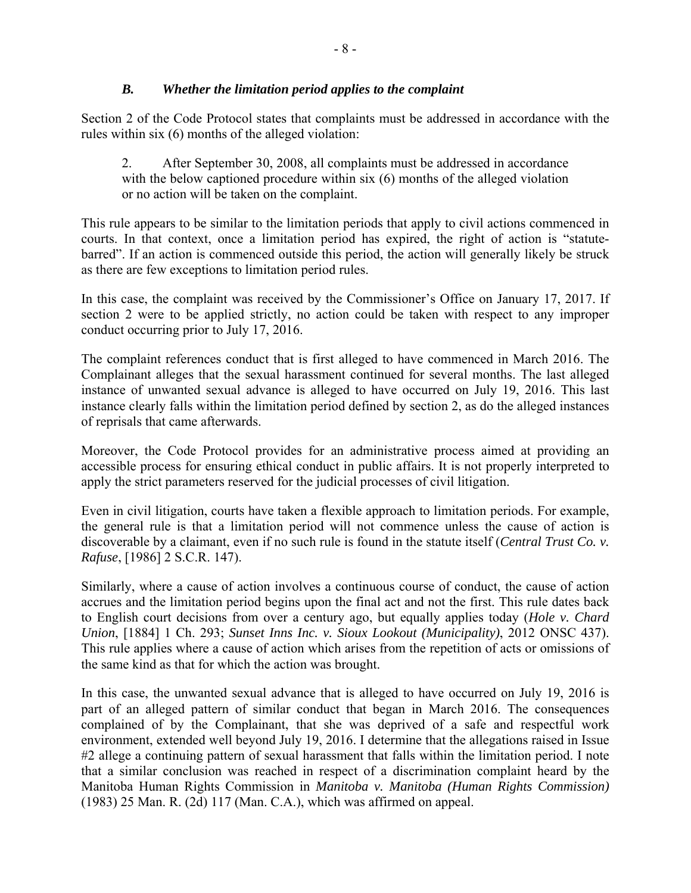## *B. Whether the limitation period applies to the complaint*

Section 2 of the Code Protocol states that complaints must be addressed in accordance with the rules within six (6) months of the alleged violation:

2. After September 30, 2008, all complaints must be addressed in accordance with the below captioned procedure within six (6) months of the alleged violation or no action will be taken on the complaint.

This rule appears to be similar to the limitation periods that apply to civil actions commenced in courts. In that context, once a limitation period has expired, the right of action is "statutebarred". If an action is commenced outside this period, the action will generally likely be struck as there are few exceptions to limitation period rules.

In this case, the complaint was received by the Commissioner's Office on January 17, 2017. If section 2 were to be applied strictly, no action could be taken with respect to any improper conduct occurring prior to July 17, 2016.

The complaint references conduct that is first alleged to have commenced in March 2016. The Complainant alleges that the sexual harassment continued for several months. The last alleged instance of unwanted sexual advance is alleged to have occurred on July 19, 2016. This last instance clearly falls within the limitation period defined by section 2, as do the alleged instances of reprisals that came afterwards.

Moreover, the Code Protocol provides for an administrative process aimed at providing an accessible process for ensuring ethical conduct in public affairs. It is not properly interpreted to apply the strict parameters reserved for the judicial processes of civil litigation.

Even in civil litigation, courts have taken a flexible approach to limitation periods. For example, the general rule is that a limitation period will not commence unless the cause of action is discoverable by a claimant, even if no such rule is found in the statute itself (*Central Trust Co. v. Rafuse*, [1986] 2 S.C.R. 147).

Similarly, where a cause of action involves a continuous course of conduct, the cause of action accrues and the limitation period begins upon the final act and not the first. This rule dates back to English court decisions from over a century ago, but equally applies today (*Hole v. Chard Union*, [1884] 1 Ch. 293; *Sunset Inns Inc. v. Sioux Lookout (Municipality)*, 2012 ONSC 437). This rule applies where a cause of action which arises from the repetition of acts or omissions of the same kind as that for which the action was brought.

In this case, the unwanted sexual advance that is alleged to have occurred on July 19, 2016 is part of an alleged pattern of similar conduct that began in March 2016. The consequences complained of by the Complainant, that she was deprived of a safe and respectful work environment, extended well beyond July 19, 2016. I determine that the allegations raised in Issue #2 allege a continuing pattern of sexual harassment that falls within the limitation period. I note that a similar conclusion was reached in respect of a discrimination complaint heard by the Manitoba Human Rights Commission in *Manitoba v. Manitoba (Human Rights Commission)* (1983) 25 Man. R. (2d) 117 (Man. C.A.), which was affirmed on appeal.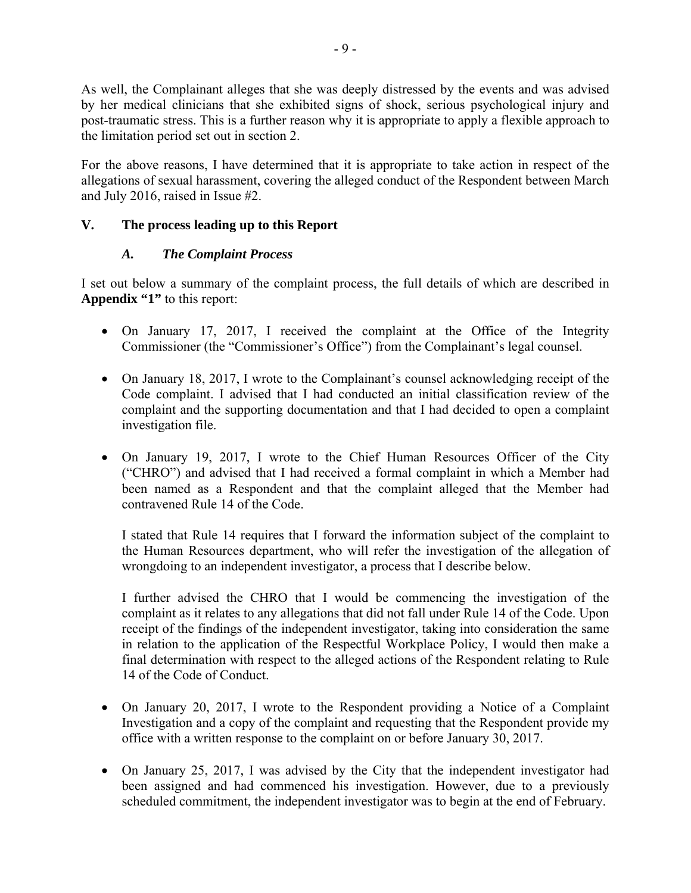As well, the Complainant alleges that she was deeply distressed by the events and was advised by her medical clinicians that she exhibited signs of shock, serious psychological injury and post-traumatic stress. This is a further reason why it is appropriate to apply a flexible approach to the limitation period set out in section 2.

For the above reasons, I have determined that it is appropriate to take action in respect of the allegations of sexual harassment, covering the alleged conduct of the Respondent between March and July 2016, raised in Issue #2.

# **V. The process leading up to this Report**

## *A. The Complaint Process*

I set out below a summary of the complaint process, the full details of which are described in **Appendix "1"** to this report:

- On January 17, 2017, I received the complaint at the Office of the Integrity Commissioner (the "Commissioner's Office") from the Complainant's legal counsel.
- On January 18, 2017, I wrote to the Complainant's counsel acknowledging receipt of the Code complaint. I advised that I had conducted an initial classification review of the complaint and the supporting documentation and that I had decided to open a complaint investigation file.
- On January 19, 2017, I wrote to the Chief Human Resources Officer of the City ("CHRO") and advised that I had received a formal complaint in which a Member had been named as a Respondent and that the complaint alleged that the Member had contravened Rule 14 of the Code.

I stated that Rule 14 requires that I forward the information subject of the complaint to the Human Resources department, who will refer the investigation of the allegation of wrongdoing to an independent investigator, a process that I describe below.

I further advised the CHRO that I would be commencing the investigation of the complaint as it relates to any allegations that did not fall under Rule 14 of the Code. Upon receipt of the findings of the independent investigator, taking into consideration the same in relation to the application of the Respectful Workplace Policy, I would then make a final determination with respect to the alleged actions of the Respondent relating to Rule 14 of the Code of Conduct.

- On January 20, 2017, I wrote to the Respondent providing a Notice of a Complaint Investigation and a copy of the complaint and requesting that the Respondent provide my office with a written response to the complaint on or before January 30, 2017.
- On January 25, 2017, I was advised by the City that the independent investigator had been assigned and had commenced his investigation. However, due to a previously scheduled commitment, the independent investigator was to begin at the end of February.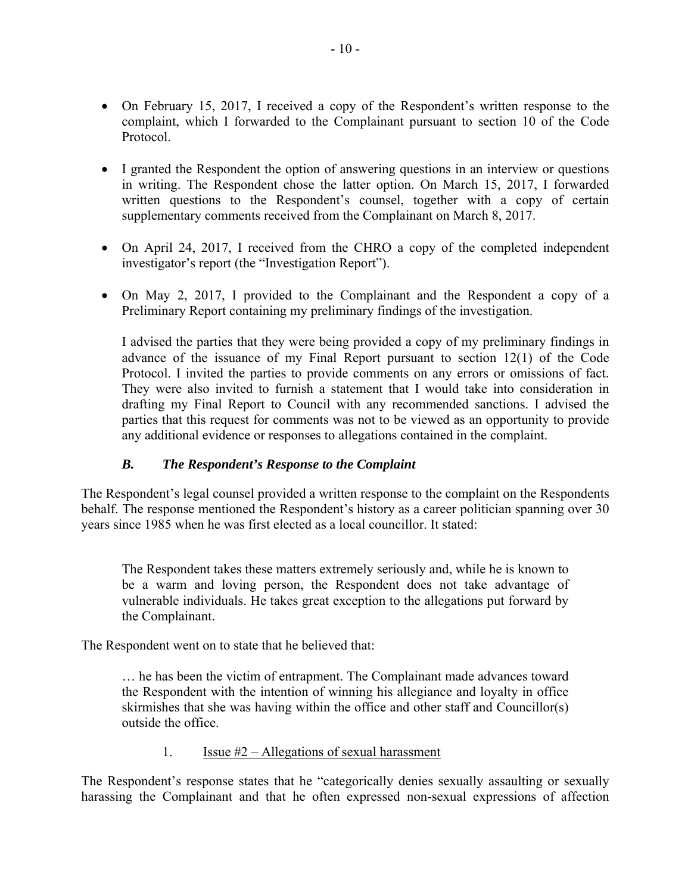- On February 15, 2017, I received a copy of the Respondent's written response to the complaint, which I forwarded to the Complainant pursuant to section 10 of the Code Protocol.
- I granted the Respondent the option of answering questions in an interview or questions in writing. The Respondent chose the latter option. On March 15, 2017, I forwarded written questions to the Respondent's counsel, together with a copy of certain supplementary comments received from the Complainant on March 8, 2017.
- On April 24, 2017, I received from the CHRO a copy of the completed independent investigator's report (the "Investigation Report").
- On May 2, 2017, I provided to the Complainant and the Respondent a copy of a Preliminary Report containing my preliminary findings of the investigation.

I advised the parties that they were being provided a copy of my preliminary findings in advance of the issuance of my Final Report pursuant to section 12(1) of the Code Protocol. I invited the parties to provide comments on any errors or omissions of fact. They were also invited to furnish a statement that I would take into consideration in drafting my Final Report to Council with any recommended sanctions. I advised the parties that this request for comments was not to be viewed as an opportunity to provide any additional evidence or responses to allegations contained in the complaint.

## *B. The Respondent's Response to the Complaint*

The Respondent's legal counsel provided a written response to the complaint on the Respondents behalf. The response mentioned the Respondent's history as a career politician spanning over 30 years since 1985 when he was first elected as a local councillor. It stated:

The Respondent takes these matters extremely seriously and, while he is known to be a warm and loving person, the Respondent does not take advantage of vulnerable individuals. He takes great exception to the allegations put forward by the Complainant.

The Respondent went on to state that he believed that:

… he has been the victim of entrapment. The Complainant made advances toward the Respondent with the intention of winning his allegiance and loyalty in office skirmishes that she was having within the office and other staff and Councillor(s) outside the office.

1. Issue  $#2 -$  Allegations of sexual harassment

The Respondent's response states that he "categorically denies sexually assaulting or sexually harassing the Complainant and that he often expressed non-sexual expressions of affection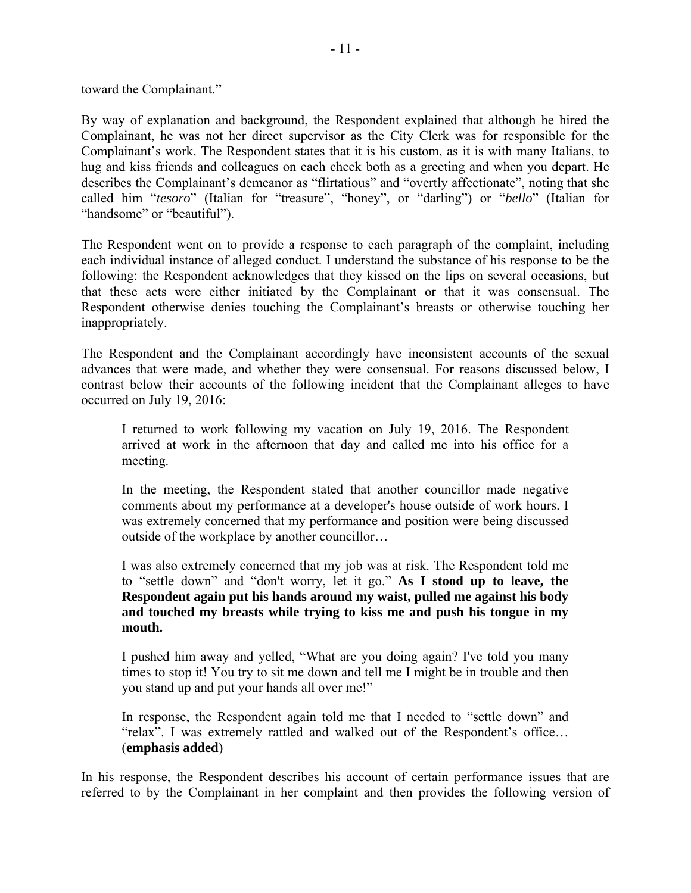toward the Complainant."

By way of explanation and background, the Respondent explained that although he hired the Complainant, he was not her direct supervisor as the City Clerk was for responsible for the Complainant's work. The Respondent states that it is his custom, as it is with many Italians, to hug and kiss friends and colleagues on each cheek both as a greeting and when you depart. He describes the Complainant's demeanor as "flirtatious" and "overtly affectionate", noting that she called him "*tesoro*" (Italian for "treasure", "honey", or "darling") or "*bello*" (Italian for "handsome" or "beautiful").

The Respondent went on to provide a response to each paragraph of the complaint, including each individual instance of alleged conduct. I understand the substance of his response to be the following: the Respondent acknowledges that they kissed on the lips on several occasions, but that these acts were either initiated by the Complainant or that it was consensual. The Respondent otherwise denies touching the Complainant's breasts or otherwise touching her inappropriately.

The Respondent and the Complainant accordingly have inconsistent accounts of the sexual advances that were made, and whether they were consensual. For reasons discussed below, I contrast below their accounts of the following incident that the Complainant alleges to have occurred on July 19, 2016:

I returned to work following my vacation on July 19, 2016. The Respondent arrived at work in the afternoon that day and called me into his office for a meeting.

In the meeting, the Respondent stated that another councillor made negative comments about my performance at a developer's house outside of work hours. I was extremely concerned that my performance and position were being discussed outside of the workplace by another councillor…

I was also extremely concerned that my job was at risk. The Respondent told me to "settle down" and "don't worry, let it go." **As I stood up to leave, the Respondent again put his hands around my waist, pulled me against his body and touched my breasts while trying to kiss me and push his tongue in my mouth.**

I pushed him away and yelled, "What are you doing again? I've told you many times to stop it! You try to sit me down and tell me I might be in trouble and then you stand up and put your hands all over me!"

In response, the Respondent again told me that I needed to "settle down" and "relax". I was extremely rattled and walked out of the Respondent's office… (**emphasis added**)

In his response, the Respondent describes his account of certain performance issues that are referred to by the Complainant in her complaint and then provides the following version of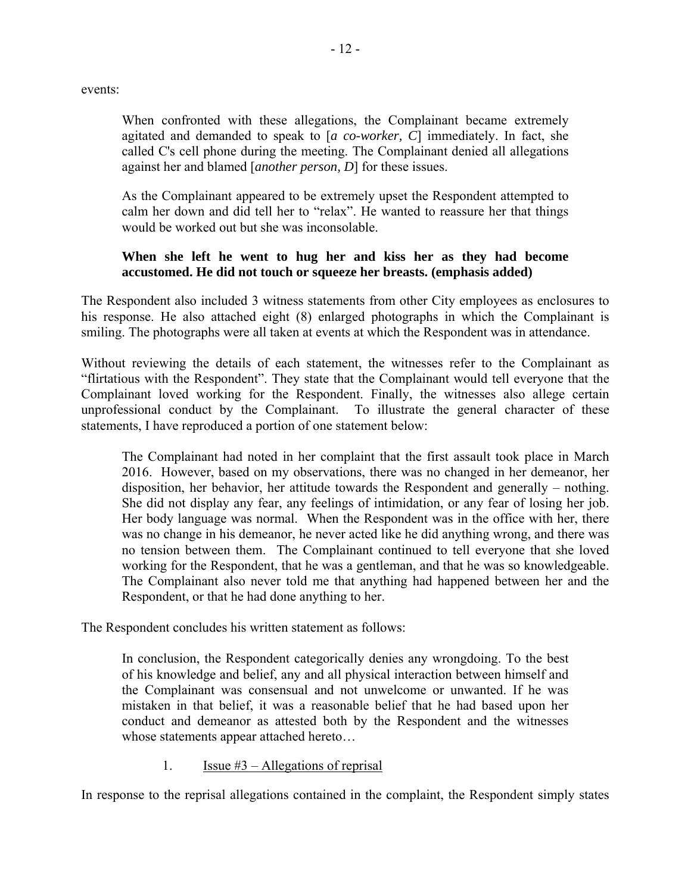events:

When confronted with these allegations, the Complainant became extremely agitated and demanded to speak to [*a co-worker, C*] immediately. In fact, she called C's cell phone during the meeting. The Complainant denied all allegations against her and blamed [*another person, D*] for these issues.

As the Complainant appeared to be extremely upset the Respondent attempted to calm her down and did tell her to "relax". He wanted to reassure her that things would be worked out but she was inconsolable.

## **When she left he went to hug her and kiss her as they had become accustomed. He did not touch or squeeze her breasts. (emphasis added)**

The Respondent also included 3 witness statements from other City employees as enclosures to his response. He also attached eight (8) enlarged photographs in which the Complainant is smiling. The photographs were all taken at events at which the Respondent was in attendance.

Without reviewing the details of each statement, the witnesses refer to the Complainant as "flirtatious with the Respondent". They state that the Complainant would tell everyone that the Complainant loved working for the Respondent. Finally, the witnesses also allege certain unprofessional conduct by the Complainant. To illustrate the general character of these statements, I have reproduced a portion of one statement below:

The Complainant had noted in her complaint that the first assault took place in March 2016. However, based on my observations, there was no changed in her demeanor, her disposition, her behavior, her attitude towards the Respondent and generally – nothing. She did not display any fear, any feelings of intimidation, or any fear of losing her job. Her body language was normal. When the Respondent was in the office with her, there was no change in his demeanor, he never acted like he did anything wrong, and there was no tension between them. The Complainant continued to tell everyone that she loved working for the Respondent, that he was a gentleman, and that he was so knowledgeable. The Complainant also never told me that anything had happened between her and the Respondent, or that he had done anything to her.

The Respondent concludes his written statement as follows:

In conclusion, the Respondent categorically denies any wrongdoing. To the best of his knowledge and belief, any and all physical interaction between himself and the Complainant was consensual and not unwelcome or unwanted. If he was mistaken in that belief, it was a reasonable belief that he had based upon her conduct and demeanor as attested both by the Respondent and the witnesses whose statements appear attached hereto…

1. **Issue #3** – Allegations of reprisal

In response to the reprisal allegations contained in the complaint, the Respondent simply states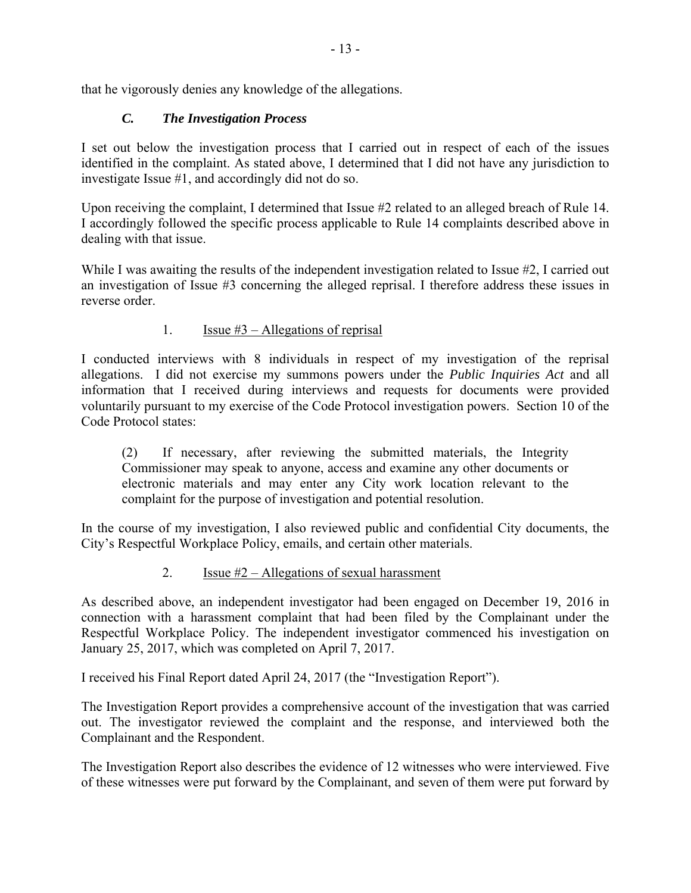that he vigorously denies any knowledge of the allegations.

# *C. The Investigation Process*

I set out below the investigation process that I carried out in respect of each of the issues identified in the complaint. As stated above, I determined that I did not have any jurisdiction to investigate Issue #1, and accordingly did not do so.

Upon receiving the complaint, I determined that Issue #2 related to an alleged breach of Rule 14. I accordingly followed the specific process applicable to Rule 14 complaints described above in dealing with that issue.

While I was awaiting the results of the independent investigation related to Issue #2, I carried out an investigation of Issue #3 concerning the alleged reprisal. I therefore address these issues in reverse order.

# 1. **Issue**  $#3$  – Allegations of reprisal

I conducted interviews with 8 individuals in respect of my investigation of the reprisal allegations. I did not exercise my summons powers under the *Public Inquiries Act* and all information that I received during interviews and requests for documents were provided voluntarily pursuant to my exercise of the Code Protocol investigation powers. Section 10 of the Code Protocol states:

(2) If necessary, after reviewing the submitted materials, the Integrity Commissioner may speak to anyone, access and examine any other documents or electronic materials and may enter any City work location relevant to the complaint for the purpose of investigation and potential resolution.

In the course of my investigation, I also reviewed public and confidential City documents, the City's Respectful Workplace Policy, emails, and certain other materials.

# 2. Issue  $#2 -$  Allegations of sexual harassment

As described above, an independent investigator had been engaged on December 19, 2016 in connection with a harassment complaint that had been filed by the Complainant under the Respectful Workplace Policy. The independent investigator commenced his investigation on January 25, 2017, which was completed on April 7, 2017.

I received his Final Report dated April 24, 2017 (the "Investigation Report").

The Investigation Report provides a comprehensive account of the investigation that was carried out. The investigator reviewed the complaint and the response, and interviewed both the Complainant and the Respondent.

The Investigation Report also describes the evidence of 12 witnesses who were interviewed. Five of these witnesses were put forward by the Complainant, and seven of them were put forward by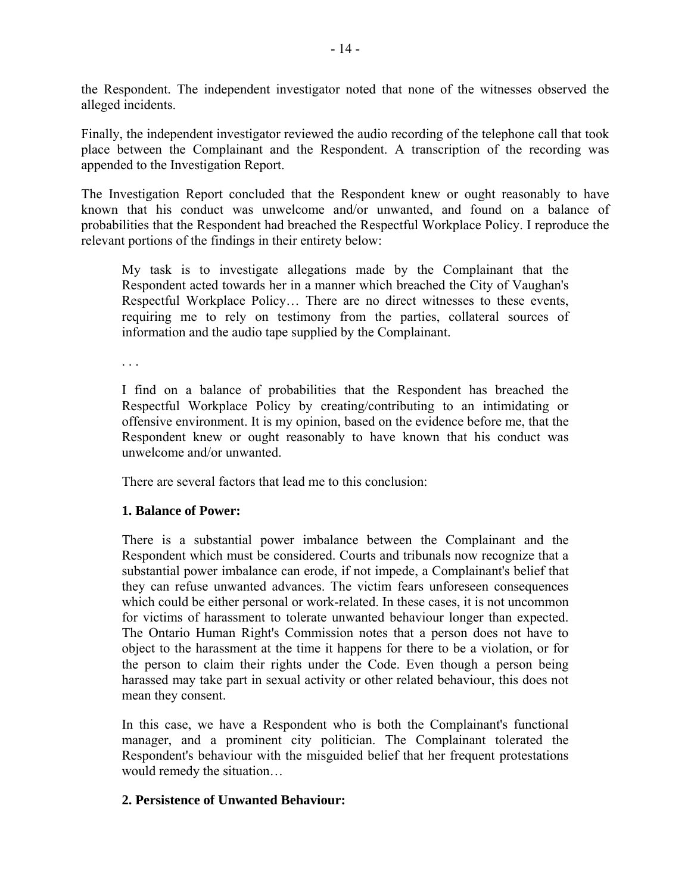the Respondent. The independent investigator noted that none of the witnesses observed the alleged incidents.

Finally, the independent investigator reviewed the audio recording of the telephone call that took place between the Complainant and the Respondent. A transcription of the recording was appended to the Investigation Report.

The Investigation Report concluded that the Respondent knew or ought reasonably to have known that his conduct was unwelcome and/or unwanted, and found on a balance of probabilities that the Respondent had breached the Respectful Workplace Policy. I reproduce the relevant portions of the findings in their entirety below:

My task is to investigate allegations made by the Complainant that the Respondent acted towards her in a manner which breached the City of Vaughan's Respectful Workplace Policy… There are no direct witnesses to these events, requiring me to rely on testimony from the parties, collateral sources of information and the audio tape supplied by the Complainant.

. . .

I find on a balance of probabilities that the Respondent has breached the Respectful Workplace Policy by creating/contributing to an intimidating or offensive environment. It is my opinion, based on the evidence before me, that the Respondent knew or ought reasonably to have known that his conduct was unwelcome and/or unwanted.

There are several factors that lead me to this conclusion:

## **1. Balance of Power:**

There is a substantial power imbalance between the Complainant and the Respondent which must be considered. Courts and tribunals now recognize that a substantial power imbalance can erode, if not impede, a Complainant's belief that they can refuse unwanted advances. The victim fears unforeseen consequences which could be either personal or work-related. In these cases, it is not uncommon for victims of harassment to tolerate unwanted behaviour longer than expected. The Ontario Human Right's Commission notes that a person does not have to object to the harassment at the time it happens for there to be a violation, or for the person to claim their rights under the Code. Even though a person being harassed may take part in sexual activity or other related behaviour, this does not mean they consent.

In this case, we have a Respondent who is both the Complainant's functional manager, and a prominent city politician. The Complainant tolerated the Respondent's behaviour with the misguided belief that her frequent protestations would remedy the situation…

### **2. Persistence of Unwanted Behaviour:**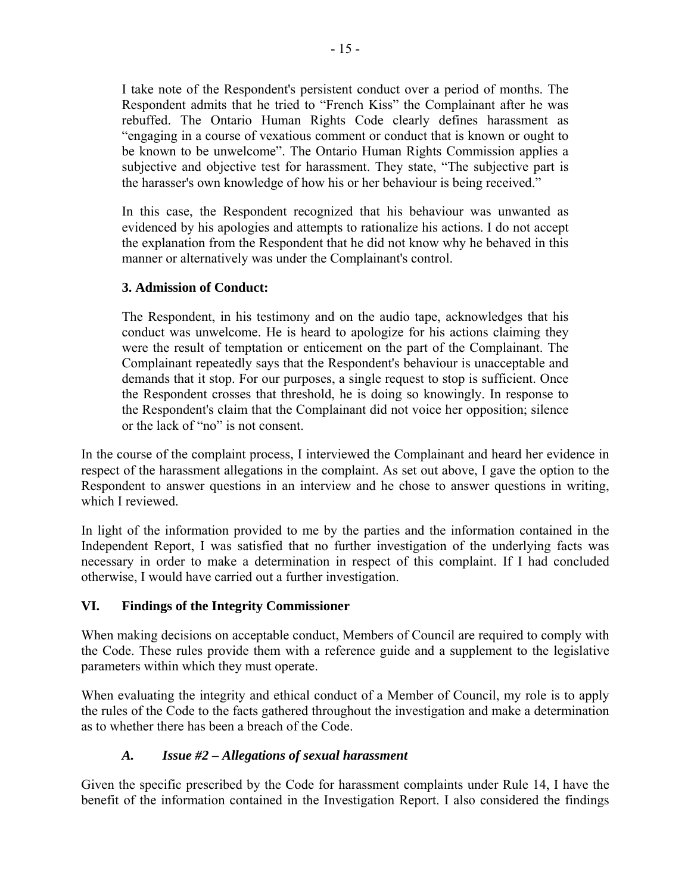I take note of the Respondent's persistent conduct over a period of months. The Respondent admits that he tried to "French Kiss" the Complainant after he was rebuffed. The Ontario Human Rights Code clearly defines harassment as "engaging in a course of vexatious comment or conduct that is known or ought to be known to be unwelcome". The Ontario Human Rights Commission applies a subjective and objective test for harassment. They state, "The subjective part is the harasser's own knowledge of how his or her behaviour is being received."

In this case, the Respondent recognized that his behaviour was unwanted as evidenced by his apologies and attempts to rationalize his actions. I do not accept the explanation from the Respondent that he did not know why he behaved in this manner or alternatively was under the Complainant's control.

## **3. Admission of Conduct:**

The Respondent, in his testimony and on the audio tape, acknowledges that his conduct was unwelcome. He is heard to apologize for his actions claiming they were the result of temptation or enticement on the part of the Complainant. The Complainant repeatedly says that the Respondent's behaviour is unacceptable and demands that it stop. For our purposes, a single request to stop is sufficient. Once the Respondent crosses that threshold, he is doing so knowingly. In response to the Respondent's claim that the Complainant did not voice her opposition; silence or the lack of "no" is not consent.

In the course of the complaint process, I interviewed the Complainant and heard her evidence in respect of the harassment allegations in the complaint. As set out above, I gave the option to the Respondent to answer questions in an interview and he chose to answer questions in writing, which I reviewed.

In light of the information provided to me by the parties and the information contained in the Independent Report, I was satisfied that no further investigation of the underlying facts was necessary in order to make a determination in respect of this complaint. If I had concluded otherwise, I would have carried out a further investigation.

## **VI. Findings of the Integrity Commissioner**

When making decisions on acceptable conduct, Members of Council are required to comply with the Code. These rules provide them with a reference guide and a supplement to the legislative parameters within which they must operate.

When evaluating the integrity and ethical conduct of a Member of Council, my role is to apply the rules of the Code to the facts gathered throughout the investigation and make a determination as to whether there has been a breach of the Code.

# *A. Issue #2 – Allegations of sexual harassment*

Given the specific prescribed by the Code for harassment complaints under Rule 14, I have the benefit of the information contained in the Investigation Report. I also considered the findings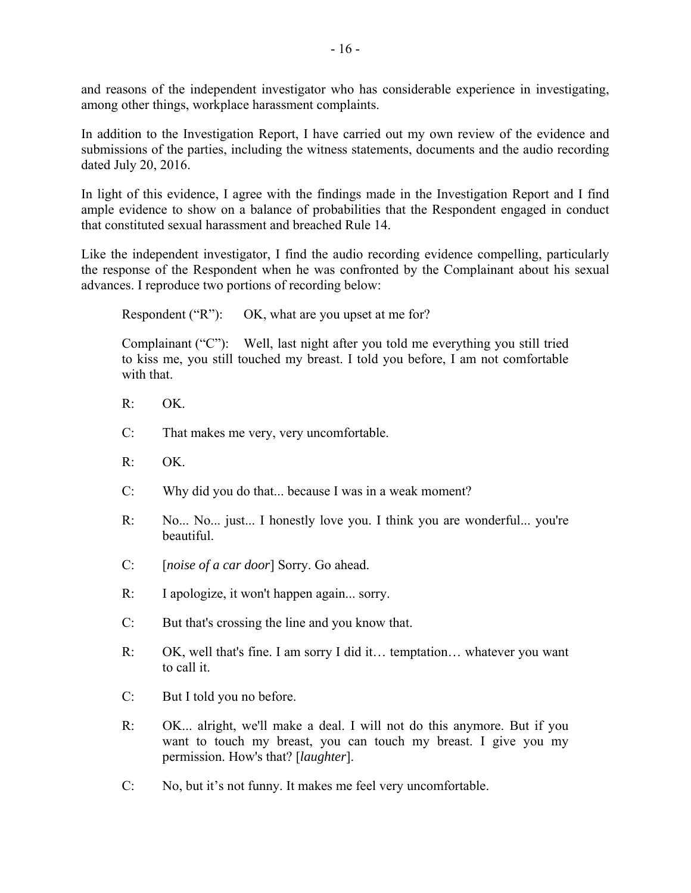and reasons of the independent investigator who has considerable experience in investigating, among other things, workplace harassment complaints.

In addition to the Investigation Report, I have carried out my own review of the evidence and submissions of the parties, including the witness statements, documents and the audio recording dated July 20, 2016.

In light of this evidence, I agree with the findings made in the Investigation Report and I find ample evidence to show on a balance of probabilities that the Respondent engaged in conduct that constituted sexual harassment and breached Rule 14.

Like the independent investigator, I find the audio recording evidence compelling, particularly the response of the Respondent when he was confronted by the Complainant about his sexual advances. I reproduce two portions of recording below:

Respondent ("R"): OK, what are you upset at me for?

Complainant ("C"): Well, last night after you told me everything you still tried to kiss me, you still touched my breast. I told you before, I am not comfortable with that.

- R: OK.
- C: That makes me very, very uncomfortable.
- $R:$  OK.
- C: Why did you do that... because I was in a weak moment?
- R: No... No... just... I honestly love you. I think you are wonderful... you're beautiful.
- C: [*noise of a car door*] Sorry. Go ahead.
- R: I apologize, it won't happen again... sorry.
- C: But that's crossing the line and you know that.
- R: OK, well that's fine. I am sorry I did it… temptation… whatever you want to call it.
- C: But I told you no before.
- R: OK... alright, we'll make a deal. I will not do this anymore. But if you want to touch my breast, you can touch my breast. I give you my permission. How's that? [*laughter*].
- C: No, but it's not funny. It makes me feel very uncomfortable.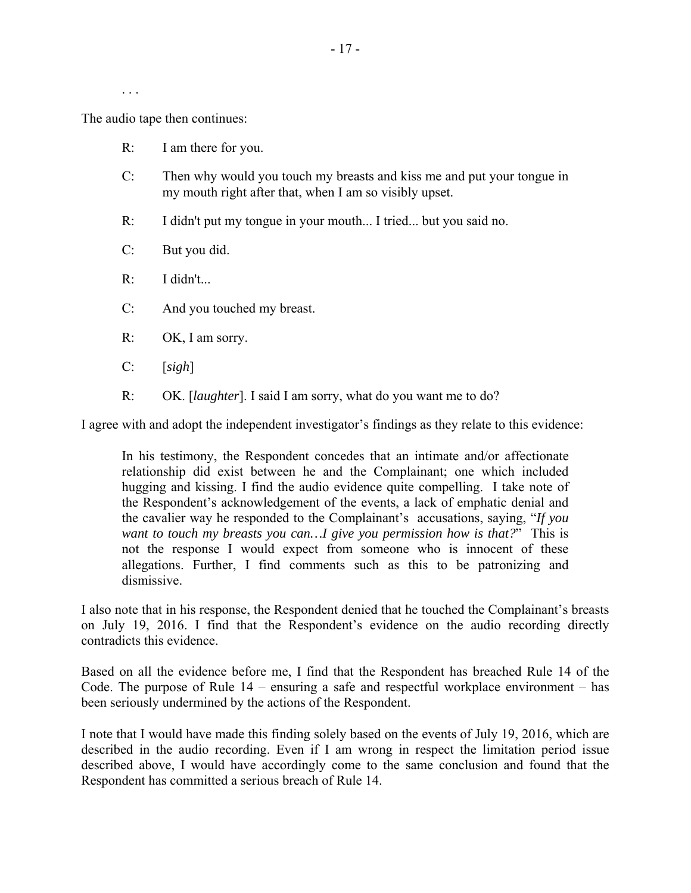. . .

The audio tape then continues:

- R: I am there for you.
- C: Then why would you touch my breasts and kiss me and put your tongue in my mouth right after that, when I am so visibly upset.
- R: I didn't put my tongue in your mouth... I tried... but you said no.
- C: But you did.
- R: I didn't...
- C: And you touched my breast.
- R: OK, I am sorry.
- C: [*sigh*]
- R: OK. [*laughter*]. I said I am sorry, what do you want me to do?

I agree with and adopt the independent investigator's findings as they relate to this evidence:

In his testimony, the Respondent concedes that an intimate and/or affectionate relationship did exist between he and the Complainant; one which included hugging and kissing. I find the audio evidence quite compelling. I take note of the Respondent's acknowledgement of the events, a lack of emphatic denial and the cavalier way he responded to the Complainant's accusations, saying, "*If you want to touch my breasts you can…I give you permission how is that?*" This is not the response I would expect from someone who is innocent of these allegations. Further, I find comments such as this to be patronizing and dismissive.

I also note that in his response, the Respondent denied that he touched the Complainant's breasts on July 19, 2016. I find that the Respondent's evidence on the audio recording directly contradicts this evidence.

Based on all the evidence before me, I find that the Respondent has breached Rule 14 of the Code. The purpose of Rule 14 – ensuring a safe and respectful workplace environment – has been seriously undermined by the actions of the Respondent.

I note that I would have made this finding solely based on the events of July 19, 2016, which are described in the audio recording. Even if I am wrong in respect the limitation period issue described above, I would have accordingly come to the same conclusion and found that the Respondent has committed a serious breach of Rule 14.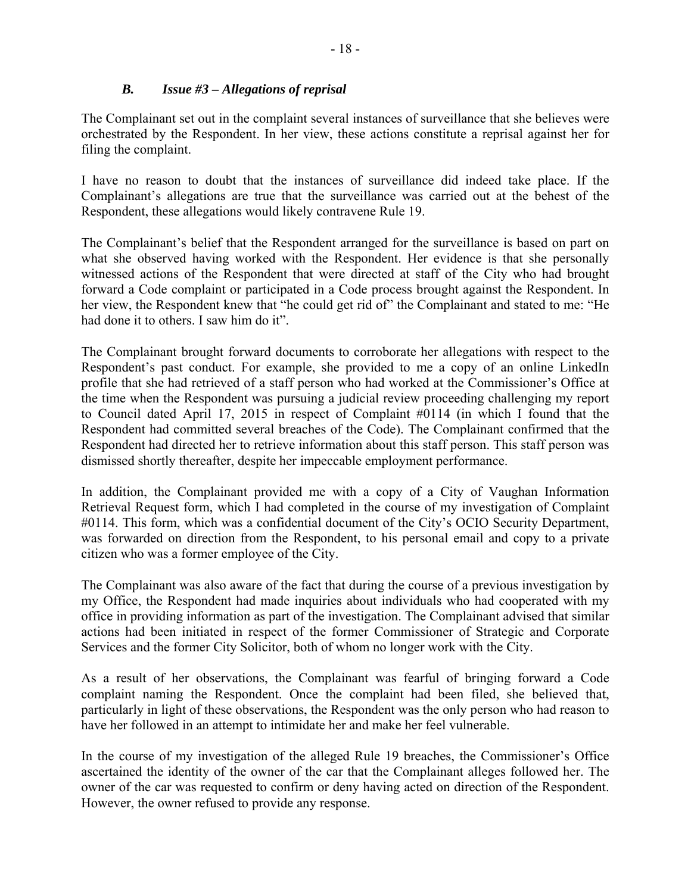## *B. Issue #3 – Allegations of reprisal*

The Complainant set out in the complaint several instances of surveillance that she believes were orchestrated by the Respondent. In her view, these actions constitute a reprisal against her for filing the complaint.

I have no reason to doubt that the instances of surveillance did indeed take place. If the Complainant's allegations are true that the surveillance was carried out at the behest of the Respondent, these allegations would likely contravene Rule 19.

The Complainant's belief that the Respondent arranged for the surveillance is based on part on what she observed having worked with the Respondent. Her evidence is that she personally witnessed actions of the Respondent that were directed at staff of the City who had brought forward a Code complaint or participated in a Code process brought against the Respondent. In her view, the Respondent knew that "he could get rid of" the Complainant and stated to me: "He had done it to others. I saw him do it".

The Complainant brought forward documents to corroborate her allegations with respect to the Respondent's past conduct. For example, she provided to me a copy of an online LinkedIn profile that she had retrieved of a staff person who had worked at the Commissioner's Office at the time when the Respondent was pursuing a judicial review proceeding challenging my report to Council dated April 17, 2015 in respect of Complaint #0114 (in which I found that the Respondent had committed several breaches of the Code). The Complainant confirmed that the Respondent had directed her to retrieve information about this staff person. This staff person was dismissed shortly thereafter, despite her impeccable employment performance.

In addition, the Complainant provided me with a copy of a City of Vaughan Information Retrieval Request form, which I had completed in the course of my investigation of Complaint #0114. This form, which was a confidential document of the City's OCIO Security Department, was forwarded on direction from the Respondent, to his personal email and copy to a private citizen who was a former employee of the City.

The Complainant was also aware of the fact that during the course of a previous investigation by my Office, the Respondent had made inquiries about individuals who had cooperated with my office in providing information as part of the investigation. The Complainant advised that similar actions had been initiated in respect of the former Commissioner of Strategic and Corporate Services and the former City Solicitor, both of whom no longer work with the City.

As a result of her observations, the Complainant was fearful of bringing forward a Code complaint naming the Respondent. Once the complaint had been filed, she believed that, particularly in light of these observations, the Respondent was the only person who had reason to have her followed in an attempt to intimidate her and make her feel vulnerable.

In the course of my investigation of the alleged Rule 19 breaches, the Commissioner's Office ascertained the identity of the owner of the car that the Complainant alleges followed her. The owner of the car was requested to confirm or deny having acted on direction of the Respondent. However, the owner refused to provide any response.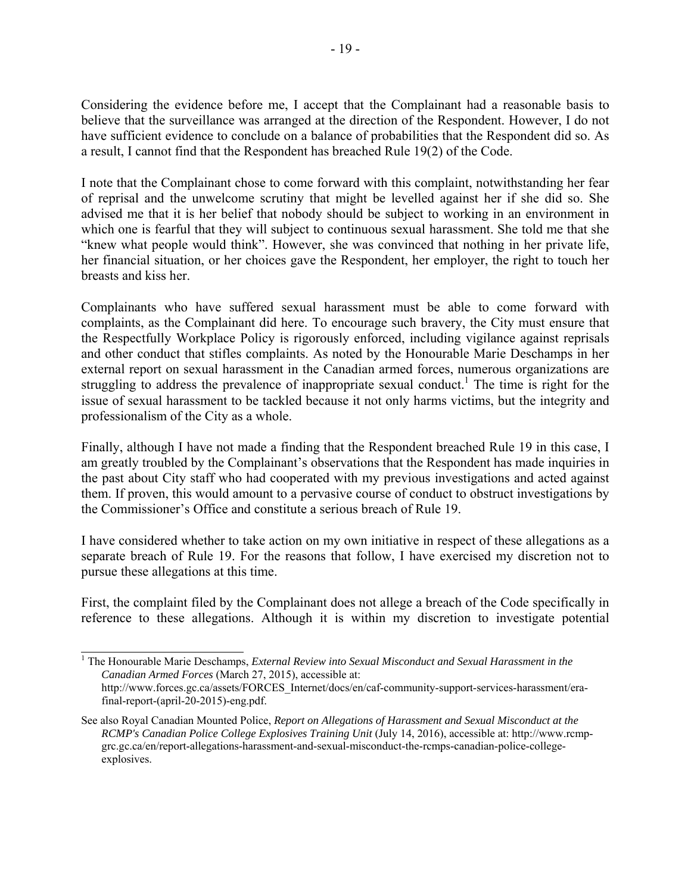Considering the evidence before me, I accept that the Complainant had a reasonable basis to believe that the surveillance was arranged at the direction of the Respondent. However, I do not have sufficient evidence to conclude on a balance of probabilities that the Respondent did so. As a result, I cannot find that the Respondent has breached Rule 19(2) of the Code.

I note that the Complainant chose to come forward with this complaint, notwithstanding her fear of reprisal and the unwelcome scrutiny that might be levelled against her if she did so. She advised me that it is her belief that nobody should be subject to working in an environment in which one is fearful that they will subject to continuous sexual harassment. She told me that she "knew what people would think". However, she was convinced that nothing in her private life, her financial situation, or her choices gave the Respondent, her employer, the right to touch her breasts and kiss her.

Complainants who have suffered sexual harassment must be able to come forward with complaints, as the Complainant did here. To encourage such bravery, the City must ensure that the Respectfully Workplace Policy is rigorously enforced, including vigilance against reprisals and other conduct that stifles complaints. As noted by the Honourable Marie Deschamps in her external report on sexual harassment in the Canadian armed forces, numerous organizations are struggling to address the prevalence of inappropriate sexual conduct.<sup>1</sup> The time is right for the issue of sexual harassment to be tackled because it not only harms victims, but the integrity and professionalism of the City as a whole.

Finally, although I have not made a finding that the Respondent breached Rule 19 in this case, I am greatly troubled by the Complainant's observations that the Respondent has made inquiries in the past about City staff who had cooperated with my previous investigations and acted against them. If proven, this would amount to a pervasive course of conduct to obstruct investigations by the Commissioner's Office and constitute a serious breach of Rule 19.

I have considered whether to take action on my own initiative in respect of these allegations as a separate breach of Rule 19. For the reasons that follow, I have exercised my discretion not to pursue these allegations at this time.

First, the complaint filed by the Complainant does not allege a breach of the Code specifically in reference to these allegations. Although it is within my discretion to investigate potential

 1 The Honourable Marie Deschamps, *External Review into Sexual Misconduct and Sexual Harassment in the Canadian Armed Forces* (March 27, 2015), accessible at: http://www.forces.gc.ca/assets/FORCES\_Internet/docs/en/caf-community-support-services-harassment/era-

final-report-(april-20-2015)-eng.pdf.

See also Royal Canadian Mounted Police, *Report on Allegations of Harassment and Sexual Misconduct at the RCMP's Canadian Police College Explosives Training Unit* (July 14, 2016), accessible at: http://www.rcmpgrc.gc.ca/en/report-allegations-harassment-and-sexual-misconduct-the-rcmps-canadian-police-collegeexplosives.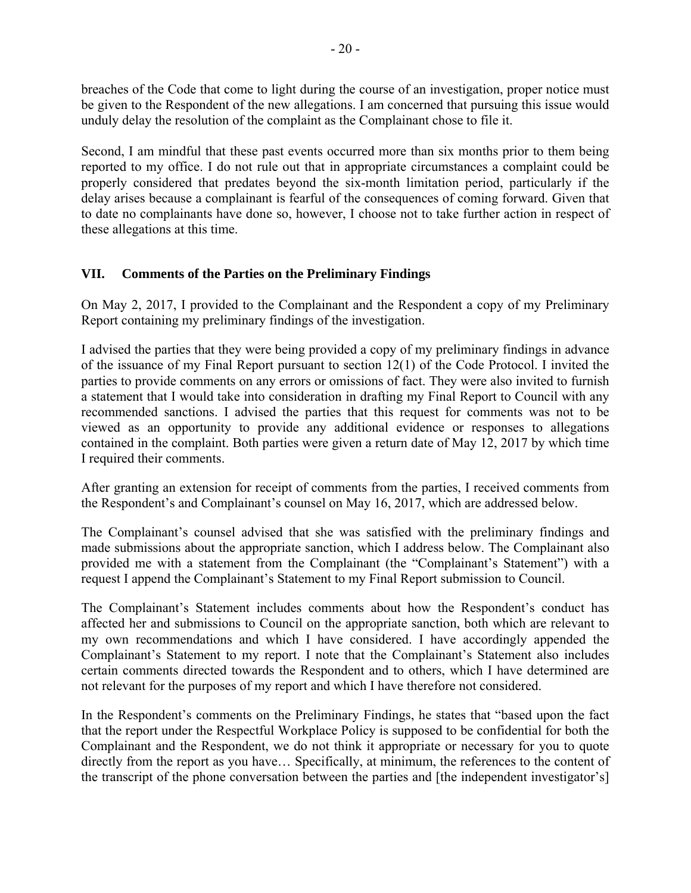breaches of the Code that come to light during the course of an investigation, proper notice must be given to the Respondent of the new allegations. I am concerned that pursuing this issue would unduly delay the resolution of the complaint as the Complainant chose to file it.

Second, I am mindful that these past events occurred more than six months prior to them being reported to my office. I do not rule out that in appropriate circumstances a complaint could be properly considered that predates beyond the six-month limitation period, particularly if the delay arises because a complainant is fearful of the consequences of coming forward. Given that to date no complainants have done so, however, I choose not to take further action in respect of these allegations at this time.

## **VII. Comments of the Parties on the Preliminary Findings**

On May 2, 2017, I provided to the Complainant and the Respondent a copy of my Preliminary Report containing my preliminary findings of the investigation.

I advised the parties that they were being provided a copy of my preliminary findings in advance of the issuance of my Final Report pursuant to section 12(1) of the Code Protocol. I invited the parties to provide comments on any errors or omissions of fact. They were also invited to furnish a statement that I would take into consideration in drafting my Final Report to Council with any recommended sanctions. I advised the parties that this request for comments was not to be viewed as an opportunity to provide any additional evidence or responses to allegations contained in the complaint. Both parties were given a return date of May 12, 2017 by which time I required their comments.

After granting an extension for receipt of comments from the parties, I received comments from the Respondent's and Complainant's counsel on May 16, 2017, which are addressed below.

The Complainant's counsel advised that she was satisfied with the preliminary findings and made submissions about the appropriate sanction, which I address below. The Complainant also provided me with a statement from the Complainant (the "Complainant's Statement") with a request I append the Complainant's Statement to my Final Report submission to Council.

The Complainant's Statement includes comments about how the Respondent's conduct has affected her and submissions to Council on the appropriate sanction, both which are relevant to my own recommendations and which I have considered. I have accordingly appended the Complainant's Statement to my report. I note that the Complainant's Statement also includes certain comments directed towards the Respondent and to others, which I have determined are not relevant for the purposes of my report and which I have therefore not considered.

In the Respondent's comments on the Preliminary Findings, he states that "based upon the fact that the report under the Respectful Workplace Policy is supposed to be confidential for both the Complainant and the Respondent, we do not think it appropriate or necessary for you to quote directly from the report as you have… Specifically, at minimum, the references to the content of the transcript of the phone conversation between the parties and [the independent investigator's]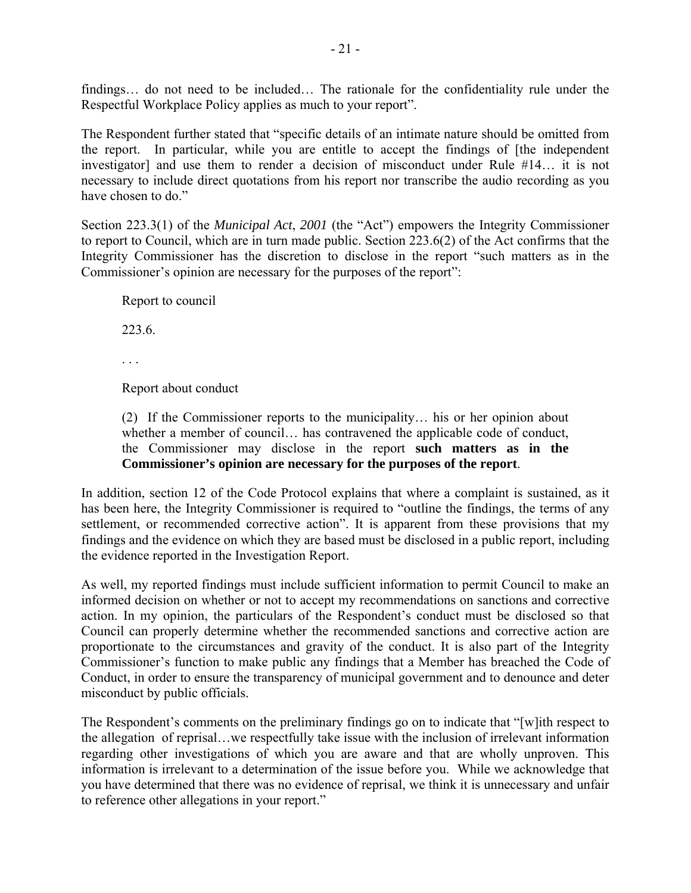findings… do not need to be included… The rationale for the confidentiality rule under the Respectful Workplace Policy applies as much to your report".

The Respondent further stated that "specific details of an intimate nature should be omitted from the report. In particular, while you are entitle to accept the findings of [the independent investigator] and use them to render a decision of misconduct under Rule #14… it is not necessary to include direct quotations from his report nor transcribe the audio recording as you have chosen to do."

Section 223.3(1) of the *Municipal Act*, *2001* (the "Act") empowers the Integrity Commissioner to report to Council, which are in turn made public. Section 223.6(2) of the Act confirms that the Integrity Commissioner has the discretion to disclose in the report "such matters as in the Commissioner's opinion are necessary for the purposes of the report":

Report to council

223.6.

Report about conduct

(2) If the Commissioner reports to the municipality… his or her opinion about whether a member of council… has contravened the applicable code of conduct, the Commissioner may disclose in the report **such matters as in the Commissioner's opinion are necessary for the purposes of the report**.

In addition, section 12 of the Code Protocol explains that where a complaint is sustained, as it has been here, the Integrity Commissioner is required to "outline the findings, the terms of any settlement, or recommended corrective action". It is apparent from these provisions that my findings and the evidence on which they are based must be disclosed in a public report, including the evidence reported in the Investigation Report.

As well, my reported findings must include sufficient information to permit Council to make an informed decision on whether or not to accept my recommendations on sanctions and corrective action. In my opinion, the particulars of the Respondent's conduct must be disclosed so that Council can properly determine whether the recommended sanctions and corrective action are proportionate to the circumstances and gravity of the conduct. It is also part of the Integrity Commissioner's function to make public any findings that a Member has breached the Code of Conduct, in order to ensure the transparency of municipal government and to denounce and deter misconduct by public officials.

The Respondent's comments on the preliminary findings go on to indicate that "[w]ith respect to the allegation of reprisal…we respectfully take issue with the inclusion of irrelevant information regarding other investigations of which you are aware and that are wholly unproven. This information is irrelevant to a determination of the issue before you. While we acknowledge that you have determined that there was no evidence of reprisal, we think it is unnecessary and unfair to reference other allegations in your report."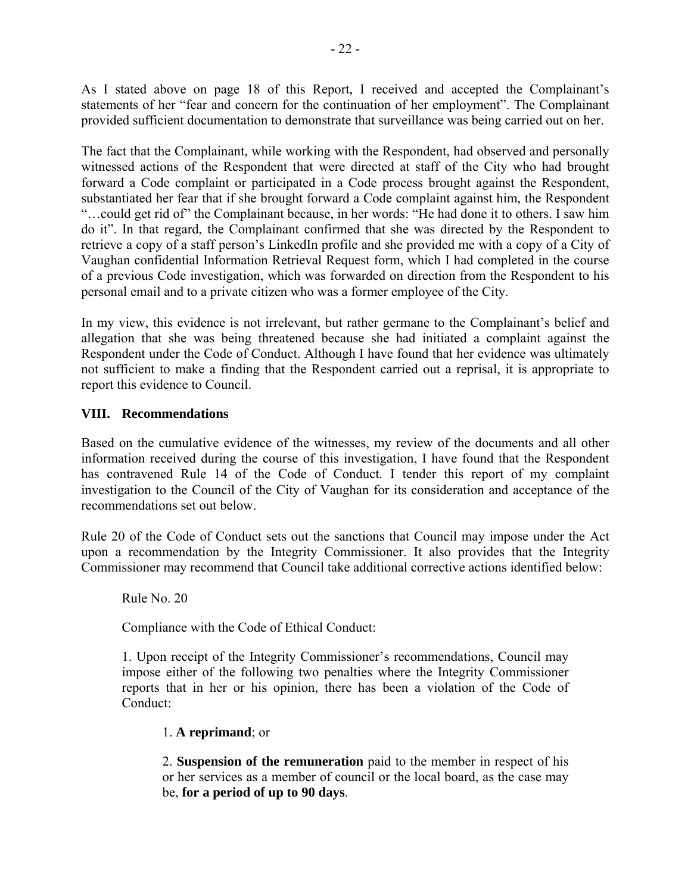As I stated above on page 18 of this Report, I received and accepted the Complainant's statements of her "fear and concern for the continuation of her employment". The Complainant provided sufficient documentation to demonstrate that surveillance was being carried out on her.

The fact that the Complainant, while working with the Respondent, had observed and personally witnessed actions of the Respondent that were directed at staff of the City who had brought forward a Code complaint or participated in a Code process brought against the Respondent, substantiated her fear that if she brought forward a Code complaint against him, the Respondent "…could get rid of" the Complainant because, in her words: "He had done it to others. I saw him do it". In that regard, the Complainant confirmed that she was directed by the Respondent to retrieve a copy of a staff person's LinkedIn profile and she provided me with a copy of a City of Vaughan confidential Information Retrieval Request form, which I had completed in the course of a previous Code investigation, which was forwarded on direction from the Respondent to his personal email and to a private citizen who was a former employee of the City.

In my view, this evidence is not irrelevant, but rather germane to the Complainant's belief and allegation that she was being threatened because she had initiated a complaint against the Respondent under the Code of Conduct. Although I have found that her evidence was ultimately not sufficient to make a finding that the Respondent carried out a reprisal, it is appropriate to report this evidence to Council.

## **VIII. Recommendations**

Based on the cumulative evidence of the witnesses, my review of the documents and all other information received during the course of this investigation, I have found that the Respondent has contravened Rule 14 of the Code of Conduct. I tender this report of my complaint investigation to the Council of the City of Vaughan for its consideration and acceptance of the recommendations set out below.

Rule 20 of the Code of Conduct sets out the sanctions that Council may impose under the Act upon a recommendation by the Integrity Commissioner. It also provides that the Integrity Commissioner may recommend that Council take additional corrective actions identified below:

Rule No. 20

Compliance with the Code of Ethical Conduct:

1. Upon receipt of the Integrity Commissioner's recommendations, Council may impose either of the following two penalties where the Integrity Commissioner reports that in her or his opinion, there has been a violation of the Code of Conduct:

## 1. **A reprimand**; or

2. **Suspension of the remuneration** paid to the member in respect of his or her services as a member of council or the local board, as the case may be, **for a period of up to 90 days**.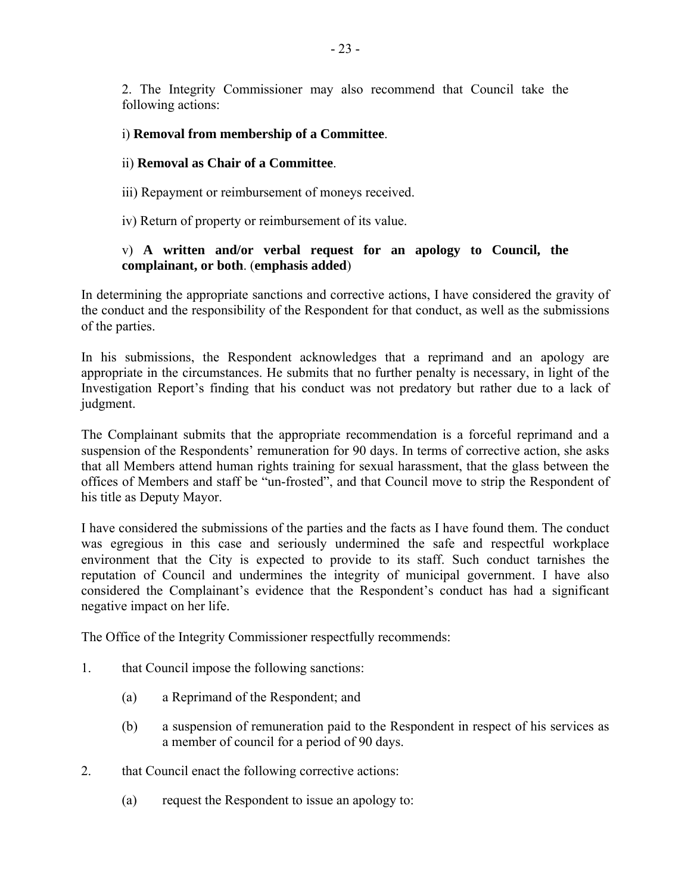2. The Integrity Commissioner may also recommend that Council take the following actions:

### i) **Removal from membership of a Committee**.

### ii) **Removal as Chair of a Committee**.

- iii) Repayment or reimbursement of moneys received.
- iv) Return of property or reimbursement of its value.

## v) **A written and/or verbal request for an apology to Council, the complainant, or both**. (**emphasis added**)

In determining the appropriate sanctions and corrective actions, I have considered the gravity of the conduct and the responsibility of the Respondent for that conduct, as well as the submissions of the parties.

In his submissions, the Respondent acknowledges that a reprimand and an apology are appropriate in the circumstances. He submits that no further penalty is necessary, in light of the Investigation Report's finding that his conduct was not predatory but rather due to a lack of judgment.

The Complainant submits that the appropriate recommendation is a forceful reprimand and a suspension of the Respondents' remuneration for 90 days. In terms of corrective action, she asks that all Members attend human rights training for sexual harassment, that the glass between the offices of Members and staff be "un-frosted", and that Council move to strip the Respondent of his title as Deputy Mayor.

I have considered the submissions of the parties and the facts as I have found them. The conduct was egregious in this case and seriously undermined the safe and respectful workplace environment that the City is expected to provide to its staff. Such conduct tarnishes the reputation of Council and undermines the integrity of municipal government. I have also considered the Complainant's evidence that the Respondent's conduct has had a significant negative impact on her life.

The Office of the Integrity Commissioner respectfully recommends:

- 1. that Council impose the following sanctions:
	- (a) a Reprimand of the Respondent; and
	- (b) a suspension of remuneration paid to the Respondent in respect of his services as a member of council for a period of 90 days.
- 2. that Council enact the following corrective actions:
	- (a) request the Respondent to issue an apology to: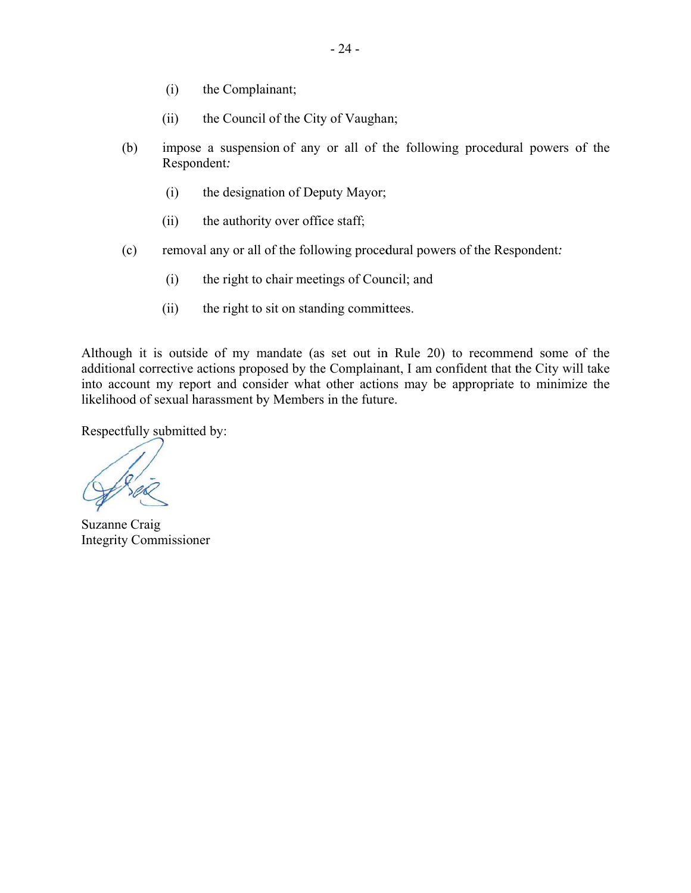- (i) the Compl lainant;
- (ii) the Council of the City of Vaughan;
- (b b) impose a suspension of any or all of the following procedural powers of the Respondent:
	- (i) the designation of Deputy Mayor;
	- (ii) the authority over office staff;
- $(c)$ c) removal any or all of the following procedural powers of the Respondent:
	- (i) the right to chair meetings of Council; and
	- (ii) the right to sit on standing committees.

Although it is outside of my mandate (as set out in Rule 20) to recommend some of the additional corrective actions proposed by the Complainant, I am confident that the City will take into account my report and consider what other actions may be appropriate to minimize the likelihood of sexual harassment by Members in the future.

Respectfully submitted by:

Suzanne Craig Integrity Commissioner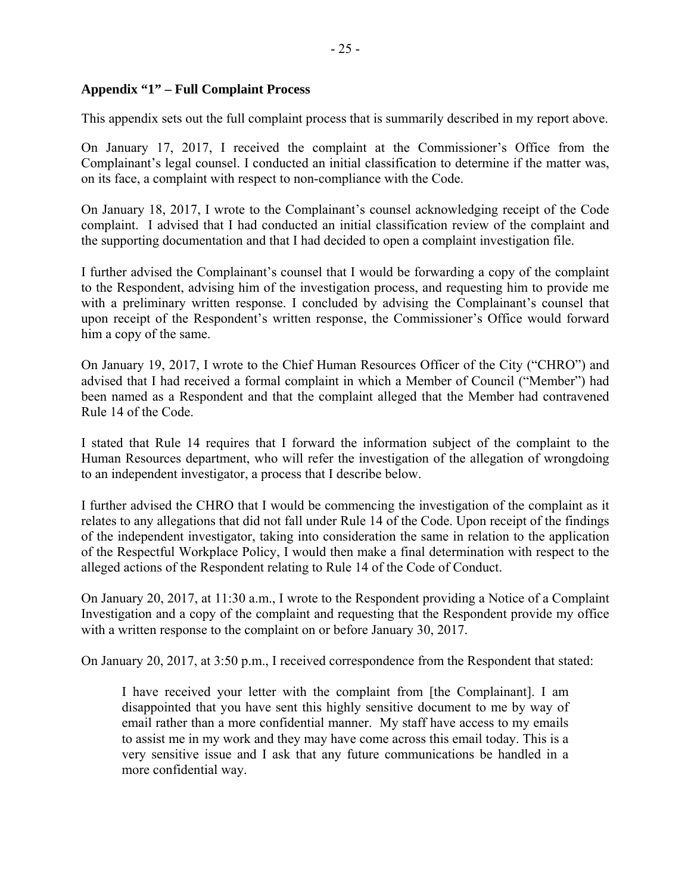### **Appendix "1" – Full Complaint Process**

This appendix sets out the full complaint process that is summarily described in my report above.

On January 17, 2017, I received the complaint at the Commissioner's Office from the Complainant's legal counsel. I conducted an initial classification to determine if the matter was, on its face, a complaint with respect to non-compliance with the Code.

On January 18, 2017, I wrote to the Complainant's counsel acknowledging receipt of the Code complaint. I advised that I had conducted an initial classification review of the complaint and the supporting documentation and that I had decided to open a complaint investigation file.

I further advised the Complainant's counsel that I would be forwarding a copy of the complaint to the Respondent, advising him of the investigation process, and requesting him to provide me with a preliminary written response. I concluded by advising the Complainant's counsel that upon receipt of the Respondent's written response, the Commissioner's Office would forward him a copy of the same.

On January 19, 2017, I wrote to the Chief Human Resources Officer of the City ("CHRO") and advised that I had received a formal complaint in which a Member of Council ("Member") had been named as a Respondent and that the complaint alleged that the Member had contravened Rule 14 of the Code.

I stated that Rule 14 requires that I forward the information subject of the complaint to the Human Resources department, who will refer the investigation of the allegation of wrongdoing to an independent investigator, a process that I describe below.

I further advised the CHRO that I would be commencing the investigation of the complaint as it relates to any allegations that did not fall under Rule 14 of the Code. Upon receipt of the findings of the independent investigator, taking into consideration the same in relation to the application of the Respectful Workplace Policy, I would then make a final determination with respect to the alleged actions of the Respondent relating to Rule 14 of the Code of Conduct.

On January 20, 2017, at 11:30 a.m., I wrote to the Respondent providing a Notice of a Complaint Investigation and a copy of the complaint and requesting that the Respondent provide my office with a written response to the complaint on or before January 30, 2017.

On January 20, 2017, at 3:50 p.m., I received correspondence from the Respondent that stated:

I have received your letter with the complaint from [the Complainant]. I am disappointed that you have sent this highly sensitive document to me by way of email rather than a more confidential manner. My staff have access to my emails to assist me in my work and they may have come across this email today. This is a very sensitive issue and I ask that any future communications be handled in a more confidential way.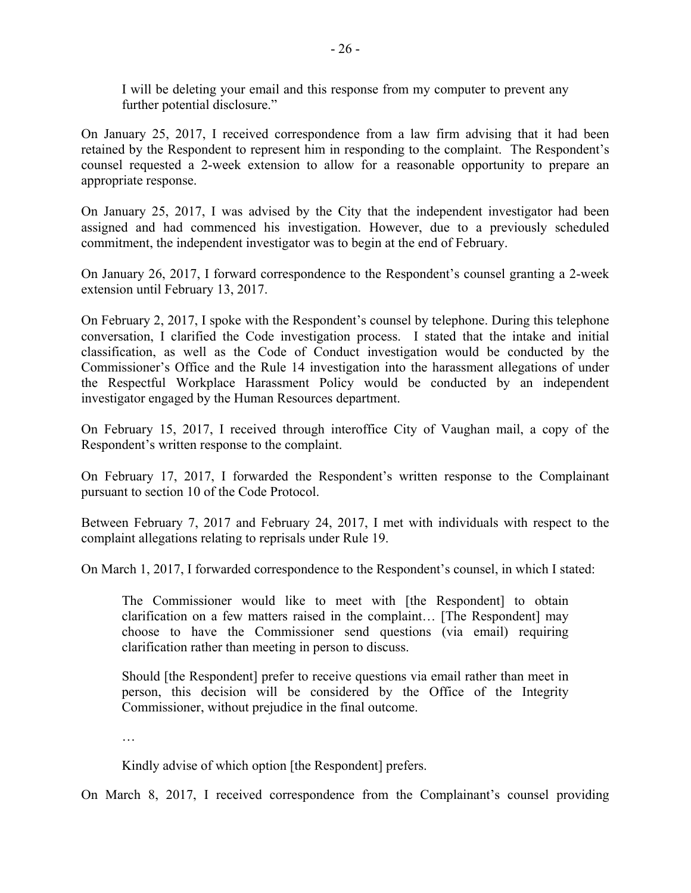I will be deleting your email and this response from my computer to prevent any further potential disclosure."

On January 25, 2017, I received correspondence from a law firm advising that it had been retained by the Respondent to represent him in responding to the complaint. The Respondent's counsel requested a 2-week extension to allow for a reasonable opportunity to prepare an appropriate response.

On January 25, 2017, I was advised by the City that the independent investigator had been assigned and had commenced his investigation. However, due to a previously scheduled commitment, the independent investigator was to begin at the end of February.

On January 26, 2017, I forward correspondence to the Respondent's counsel granting a 2-week extension until February 13, 2017.

On February 2, 2017, I spoke with the Respondent's counsel by telephone. During this telephone conversation, I clarified the Code investigation process. I stated that the intake and initial classification, as well as the Code of Conduct investigation would be conducted by the Commissioner's Office and the Rule 14 investigation into the harassment allegations of under the Respectful Workplace Harassment Policy would be conducted by an independent investigator engaged by the Human Resources department.

On February 15, 2017, I received through interoffice City of Vaughan mail, a copy of the Respondent's written response to the complaint.

On February 17, 2017, I forwarded the Respondent's written response to the Complainant pursuant to section 10 of the Code Protocol.

Between February 7, 2017 and February 24, 2017, I met with individuals with respect to the complaint allegations relating to reprisals under Rule 19.

On March 1, 2017, I forwarded correspondence to the Respondent's counsel, in which I stated:

The Commissioner would like to meet with [the Respondent] to obtain clarification on a few matters raised in the complaint… [The Respondent] may choose to have the Commissioner send questions (via email) requiring clarification rather than meeting in person to discuss.

Should [the Respondent] prefer to receive questions via email rather than meet in person, this decision will be considered by the Office of the Integrity Commissioner, without prejudice in the final outcome.

…

Kindly advise of which option [the Respondent] prefers.

On March 8, 2017, I received correspondence from the Complainant's counsel providing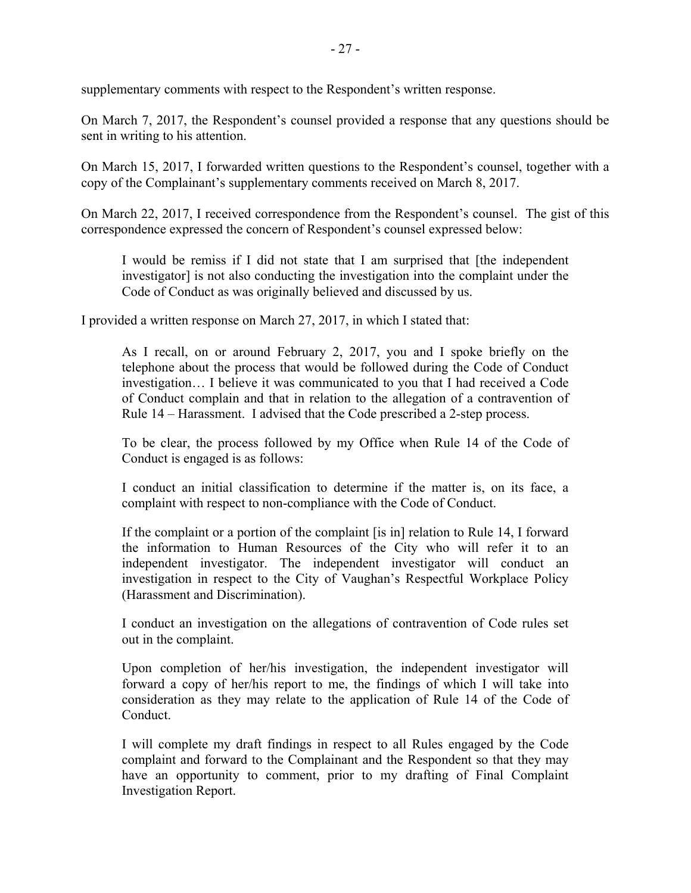supplementary comments with respect to the Respondent's written response.

On March 7, 2017, the Respondent's counsel provided a response that any questions should be sent in writing to his attention.

On March 15, 2017, I forwarded written questions to the Respondent's counsel, together with a copy of the Complainant's supplementary comments received on March 8, 2017.

On March 22, 2017, I received correspondence from the Respondent's counsel. The gist of this correspondence expressed the concern of Respondent's counsel expressed below:

I would be remiss if I did not state that I am surprised that [the independent investigator] is not also conducting the investigation into the complaint under the Code of Conduct as was originally believed and discussed by us.

I provided a written response on March 27, 2017, in which I stated that:

As I recall, on or around February 2, 2017, you and I spoke briefly on the telephone about the process that would be followed during the Code of Conduct investigation… I believe it was communicated to you that I had received a Code of Conduct complain and that in relation to the allegation of a contravention of Rule 14 – Harassment. I advised that the Code prescribed a 2-step process.

To be clear, the process followed by my Office when Rule 14 of the Code of Conduct is engaged is as follows:

I conduct an initial classification to determine if the matter is, on its face, a complaint with respect to non-compliance with the Code of Conduct.

If the complaint or a portion of the complaint [is in] relation to Rule 14, I forward the information to Human Resources of the City who will refer it to an independent investigator. The independent investigator will conduct an investigation in respect to the City of Vaughan's Respectful Workplace Policy (Harassment and Discrimination).

I conduct an investigation on the allegations of contravention of Code rules set out in the complaint.

Upon completion of her/his investigation, the independent investigator will forward a copy of her/his report to me, the findings of which I will take into consideration as they may relate to the application of Rule 14 of the Code of Conduct.

I will complete my draft findings in respect to all Rules engaged by the Code complaint and forward to the Complainant and the Respondent so that they may have an opportunity to comment, prior to my drafting of Final Complaint Investigation Report.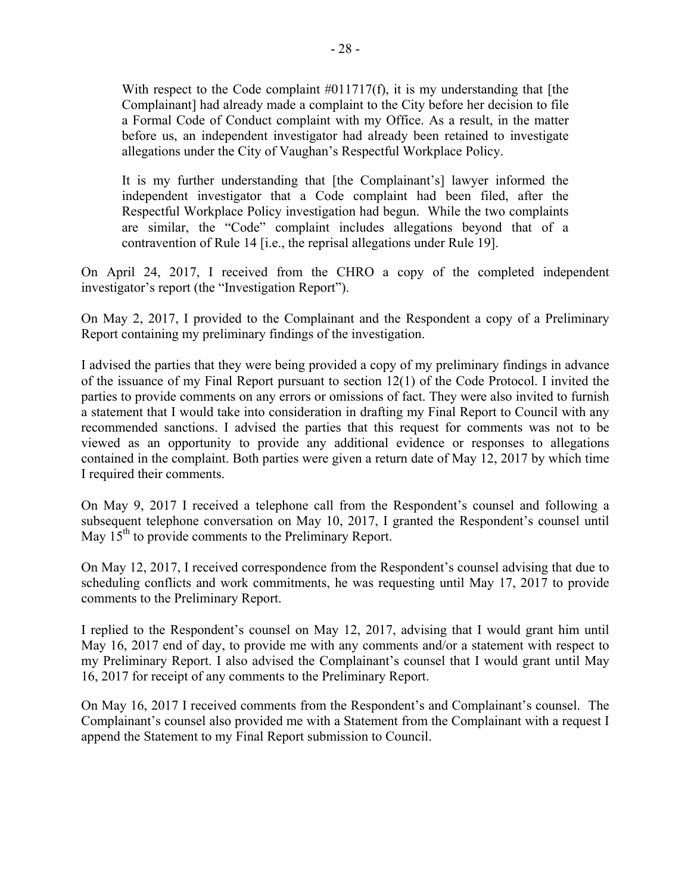With respect to the Code complaint #011717(f), it is my understanding that [the Complainant] had already made a complaint to the City before her decision to file a Formal Code of Conduct complaint with my Office. As a result, in the matter before us, an independent investigator had already been retained to investigate allegations under the City of Vaughan's Respectful Workplace Policy.

It is my further understanding that [the Complainant's] lawyer informed the independent investigator that a Code complaint had been filed, after the Respectful Workplace Policy investigation had begun. While the two complaints are similar, the "Code" complaint includes allegations beyond that of a contravention of Rule 14 [i.e., the reprisal allegations under Rule 19].

On April 24, 2017, I received from the CHRO a copy of the completed independent investigator's report (the "Investigation Report").

On May 2, 2017, I provided to the Complainant and the Respondent a copy of a Preliminary Report containing my preliminary findings of the investigation.

I advised the parties that they were being provided a copy of my preliminary findings in advance of the issuance of my Final Report pursuant to section 12(1) of the Code Protocol. I invited the parties to provide comments on any errors or omissions of fact. They were also invited to furnish a statement that I would take into consideration in drafting my Final Report to Council with any recommended sanctions. I advised the parties that this request for comments was not to be viewed as an opportunity to provide any additional evidence or responses to allegations contained in the complaint. Both parties were given a return date of May 12, 2017 by which time I required their comments.

On May 9, 2017 I received a telephone call from the Respondent's counsel and following a subsequent telephone conversation on May 10, 2017, I granted the Respondent's counsel until May 15<sup>th</sup> to provide comments to the Preliminary Report.

On May 12, 2017, I received correspondence from the Respondent's counsel advising that due to scheduling conflicts and work commitments, he was requesting until May 17, 2017 to provide comments to the Preliminary Report.

I replied to the Respondent's counsel on May 12, 2017, advising that I would grant him until May 16, 2017 end of day, to provide me with any comments and/or a statement with respect to my Preliminary Report. I also advised the Complainant's counsel that I would grant until May 16, 2017 for receipt of any comments to the Preliminary Report.

On May 16, 2017 I received comments from the Respondent's and Complainant's counsel. The Complainant's counsel also provided me with a Statement from the Complainant with a request I append the Statement to my Final Report submission to Council.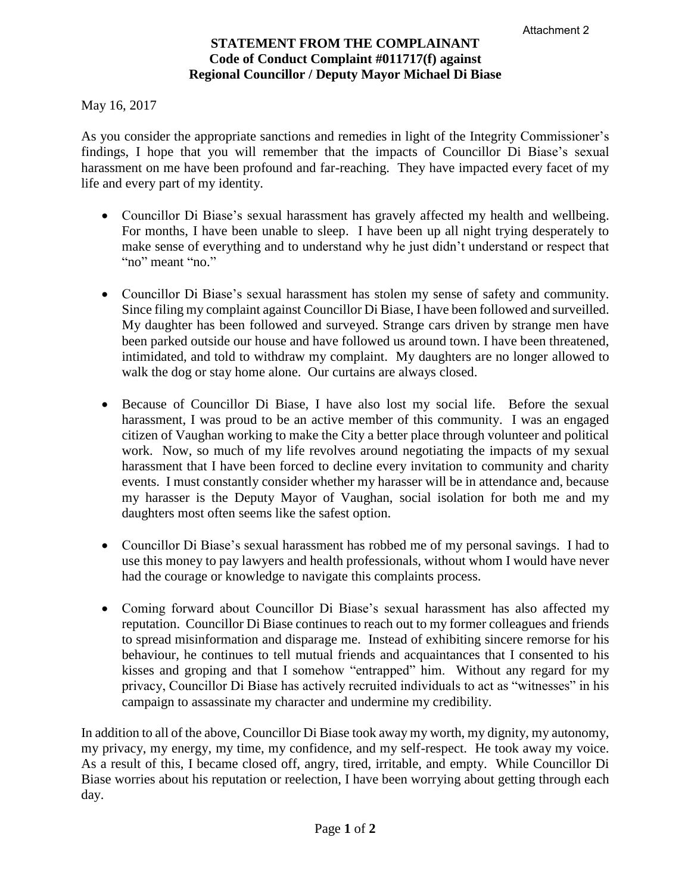## **STATEMENT FROM THE COMPLAINANT Code of Conduct Complaint #011717(f) against Regional Councillor / Deputy Mayor Michael Di Biase**

May 16, 2017

As you consider the appropriate sanctions and remedies in light of the Integrity Commissioner's findings, I hope that you will remember that the impacts of Councillor Di Biase's sexual harassment on me have been profound and far-reaching. They have impacted every facet of my life and every part of my identity.

- Councillor Di Biase's sexual harassment has gravely affected my health and wellbeing. For months, I have been unable to sleep. I have been up all night trying desperately to make sense of everything and to understand why he just didn't understand or respect that "no" meant "no."
- Councillor Di Biase's sexual harassment has stolen my sense of safety and community. Since filing my complaint against Councillor Di Biase, I have been followed and surveilled. My daughter has been followed and surveyed. Strange cars driven by strange men have been parked outside our house and have followed us around town. I have been threatened, intimidated, and told to withdraw my complaint. My daughters are no longer allowed to walk the dog or stay home alone. Our curtains are always closed.
- Because of Councillor Di Biase, I have also lost my social life. Before the sexual harassment, I was proud to be an active member of this community. I was an engaged citizen of Vaughan working to make the City a better place through volunteer and political work. Now, so much of my life revolves around negotiating the impacts of my sexual harassment that I have been forced to decline every invitation to community and charity events. I must constantly consider whether my harasser will be in attendance and, because my harasser is the Deputy Mayor of Vaughan, social isolation for both me and my daughters most often seems like the safest option.
- Councillor Di Biase's sexual harassment has robbed me of my personal savings. I had to use this money to pay lawyers and health professionals, without whom I would have never had the courage or knowledge to navigate this complaints process.
- Coming forward about Councillor Di Biase's sexual harassment has also affected my reputation. Councillor Di Biase continues to reach out to my former colleagues and friends to spread misinformation and disparage me. Instead of exhibiting sincere remorse for his behaviour, he continues to tell mutual friends and acquaintances that I consented to his kisses and groping and that I somehow "entrapped" him. Without any regard for my privacy, Councillor Di Biase has actively recruited individuals to act as "witnesses" in his campaign to assassinate my character and undermine my credibility.

In addition to all of the above, Councillor Di Biase took away my worth, my dignity, my autonomy, my privacy, my energy, my time, my confidence, and my self-respect. He took away my voice. As a result of this, I became closed off, angry, tired, irritable, and empty. While Councillor Di Biase worries about his reputation or reelection, I have been worrying about getting through each day.